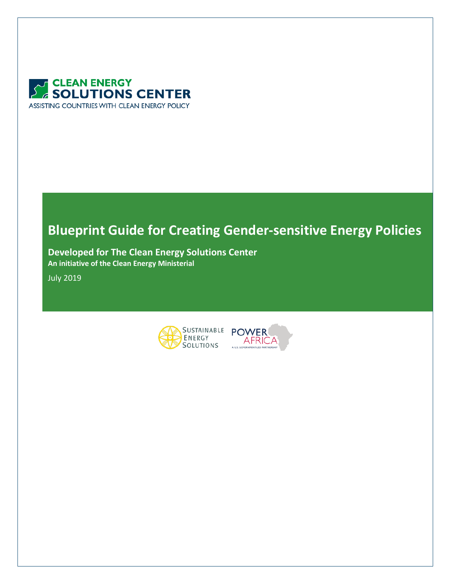

# **Blueprint Guide for Creating Gender-sensitive Energy Policies**

**Developed for The Clean Energy Solutions Center An initiative of the Clean Energy Ministerial**

July 2019



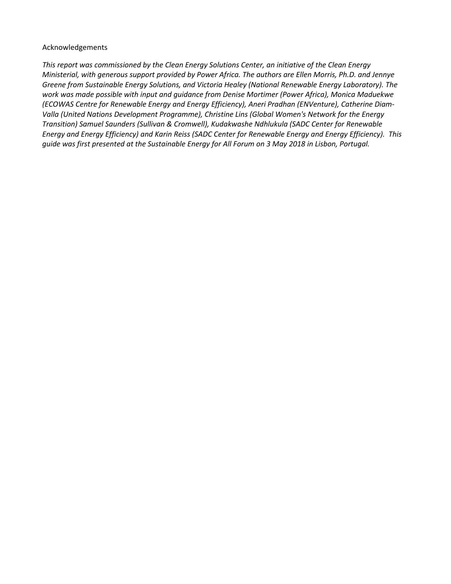#### Acknowledgements

*This report was commissioned by the Clean Energy Solutions Center, an initiative of the Clean Energy Ministerial, with generous support provided by Power Africa. The authors are Ellen Morris, Ph.D. and Jennye Greene from Sustainable Energy Solutions, and Victoria Healey (National Renewable Energy Laboratory). The work was made possible with input and guidance from Denise Mortimer (Power Africa), Monica Maduekwe (ECOWAS Centre for Renewable Energy and Energy Efficiency), Aneri Pradhan (ENVenture), Catherine Diam-Valla (United Nations Development Programme), Christine Lins (Global Women's Network for the Energy Transition) Samuel Saunders (Sullivan & Cromwell), Kudakwashe Ndhlukula (SADC Center for Renewable Energy and Energy Efficiency) and Karin Reiss (SADC Center for Renewable Energy and Energy Efficiency). This guide was first presented at the Sustainable Energy for All Forum on 3 May 2018 in Lisbon, Portugal.*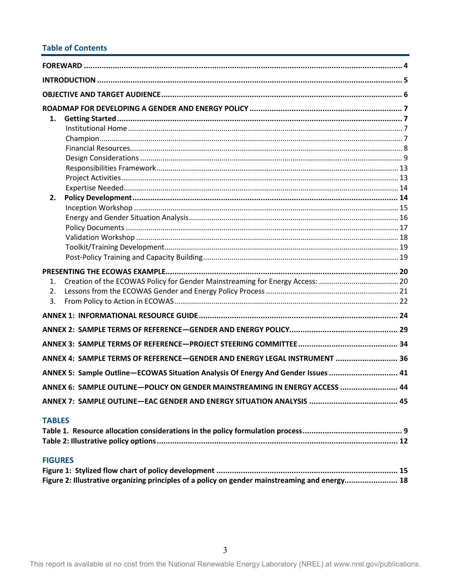# **Table of Contents**

| 1.<br>2.       |                                                                                                |  |
|----------------|------------------------------------------------------------------------------------------------|--|
|                |                                                                                                |  |
| 1.<br>2.<br>3. |                                                                                                |  |
|                |                                                                                                |  |
|                |                                                                                                |  |
|                |                                                                                                |  |
|                | ANNEX 4: SAMPLE TERMS OF REFERENCE-GENDER AND ENERGY LEGAL INSTRUMENT  36                      |  |
|                | ANNEX 5: Sample Outline-ECOWAS Situation Analysis Of Energy And Gender Issues  41              |  |
|                | ANNEX 6: SAMPLE OUTLINE-POLICY ON GENDER MAINSTREAMING IN ENERGY ACCESS  44                    |  |
|                |                                                                                                |  |
| <b>TABLES</b>  |                                                                                                |  |
| <b>FIGURES</b> |                                                                                                |  |
|                | Figure 2: Illustrative organizing principles of a policy on gender mainstreaming and energy 18 |  |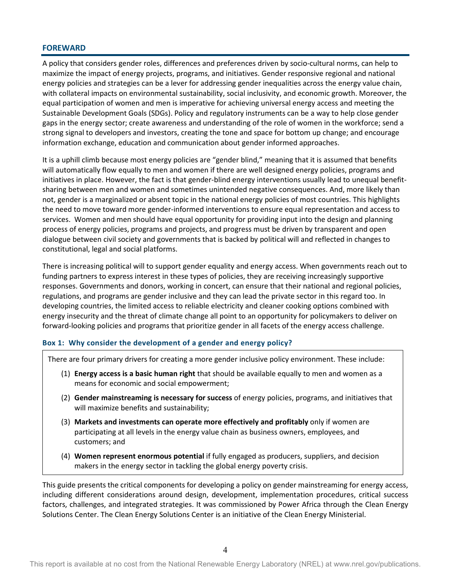### <span id="page-3-0"></span>**FOREWARD**

A policy that considers gender roles, differences and preferences driven by socio-cultural norms, can help to maximize the impact of energy projects, programs, and initiatives. Gender responsive regional and national energy policies and strategies can be a lever for addressing gender inequalities across the energy value chain, with collateral impacts on environmental sustainability, social inclusivity, and economic growth. Moreover, the equal participation of women and men is imperative for achieving universal energy access and meeting the Sustainable Development Goals (SDGs). Policy and regulatory instruments can be a way to help close gender gaps in the energy sector; create awareness and understanding of the role of women in the workforce; send a strong signal to developers and investors, creating the tone and space for bottom up change; and encourage information exchange, education and communication about gender informed approaches.

It is a uphill climb because most energy policies are "gender blind," meaning that it is assumed that benefits will automatically flow equally to men and women if there are well designed energy policies, programs and initiatives in place. However, the fact is that gender-blind energy interventions usually lead to unequal benefitsharing between men and women and sometimes unintended negative consequences. And, more likely than not, gender is a marginalized or absent topic in the national energy policies of most countries. This highlights the need to move toward more gender-informed interventions to ensure equal representation and access to services. Women and men should have equal opportunity for providing input into the design and planning process of energy policies, programs and projects, and progress must be driven by transparent and open dialogue between civil society and governments that is backed by political will and reflected in changes to constitutional, legal and social platforms.

There is increasing political will to support gender equality and energy access. When governments reach out to funding partners to express interest in these types of policies, they are receiving increasingly supportive responses. Governments and donors, working in concert, can ensure that their national and regional policies, regulations, and programs are gender inclusive and they can lead the private sector in this regard too. In developing countries, the limited access to reliable electricity and cleaner cooking options combined with energy insecurity and the threat of climate change all point to an opportunity for policymakers to deliver on forward-looking policies and programs that prioritize gender in all facets of the energy access challenge.

### **Box 1: Why consider the development of a gender and energy policy?**

There are four primary drivers for creating a more gender inclusive policy environment. These include:

- (1) **Energy access is a basic human right** that should be available equally to men and women as a means for economic and social empowerment;
- (2) **Gender mainstreaming is necessary for success** of energy policies, programs, and initiatives that will maximize benefits and sustainability;
- (3) **Markets and investments can operate more effectively and profitably** only if women are participating at all levels in the energy value chain as business owners, employees, and customers; and
- (4) **Women represent enormous potential** if fully engaged as producers, suppliers, and decision makers in the energy sector in tackling the global energy poverty crisis.

This guide presents the critical components for developing a policy on gender mainstreaming for energy access, including different considerations around design, development, implementation procedures, critical success factors, challenges, and integrated strategies. It was commissioned by Power Africa through the Clean Energy Solutions Center. The Clean Energy Solutions Center is an initiative of the Clean Energy Ministerial.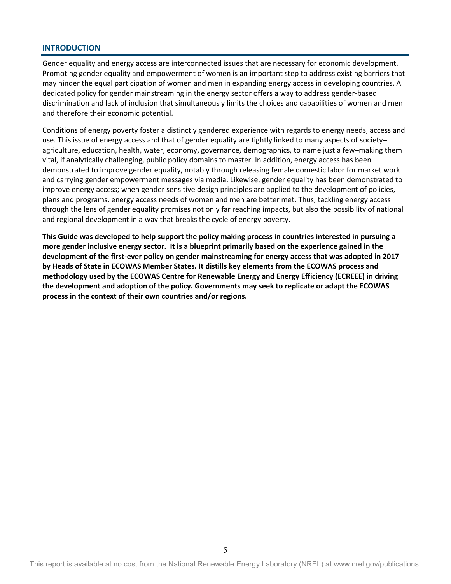### <span id="page-4-0"></span>**INTRODUCTION**

Gender equality and energy access are interconnected issues that are necessary for economic development. Promoting gender equality and empowerment of women is an important step to address existing barriers that may hinder the equal participation of women and men in expanding energy access in developing countries. A dedicated policy for gender mainstreaming in the energy sector offers a way to address gender-based discrimination and lack of inclusion that simultaneously limits the choices and capabilities of women and men and therefore their economic potential.

Conditions of energy poverty foster a distinctly gendered experience with regards to energy needs, access and use. This issue of energy access and that of gender equality are tightly linked to many aspects of society– agriculture, education, health, water, economy, governance, demographics, to name just a few–making them vital, if analytically challenging, public policy domains to master. In addition, energy access has been demonstrated to improve gender equality, notably through releasing female domestic labor for market work and carrying gender empowerment messages via media. Likewise, gender equality has been demonstrated to improve energy access; when gender sensitive design principles are applied to the development of policies, plans and programs, energy access needs of women and men are better met. Thus, tackling energy access through the lens of gender equality promises not only far reaching impacts, but also the possibility of national and regional development in a way that breaks the cycle of energy poverty.

**This Guide was developed to help support the policy making process in countries interested in pursuing a more gender inclusive energy sector. It is a blueprint primarily based on the experience gained in the development of the first-ever policy on gender mainstreaming for energy access that was adopted in 2017 by Heads of State in ECOWAS Member States. It distills key elements from the ECOWAS process and methodology used by the ECOWAS Centre for Renewable Energy and Energy Efficiency (ECREEE) in driving the development and adoption of the policy. Governments may seek to replicate or adapt the ECOWAS process in the context of their own countries and/or regions.**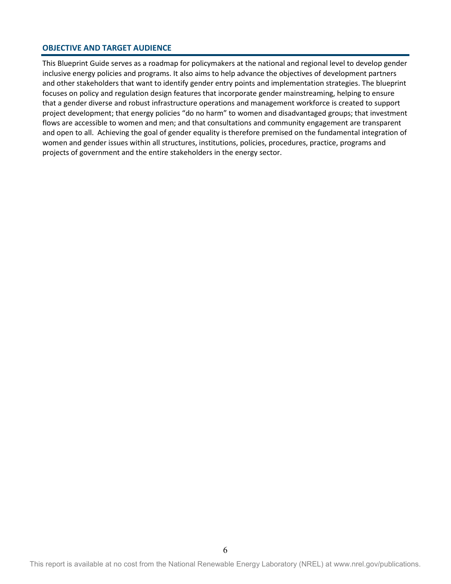### <span id="page-5-0"></span>**OBJECTIVE AND TARGET AUDIENCE**

This Blueprint Guide serves as a roadmap for policymakers at the national and regional level to develop gender inclusive energy policies and programs. It also aims to help advance the objectives of development partners and other stakeholders that want to identify gender entry points and implementation strategies. The blueprint focuses on policy and regulation design features that incorporate gender mainstreaming, helping to ensure that a gender diverse and robust infrastructure operations and management workforce is created to support project development; that energy policies "do no harm" to women and disadvantaged groups; that investment flows are accessible to women and men; and that consultations and community engagement are transparent and open to all. Achieving the goal of gender equality is therefore premised on the fundamental integration of women and gender issues within all structures, institutions, policies, procedures, practice, programs and projects of government and the entire stakeholders in the energy sector.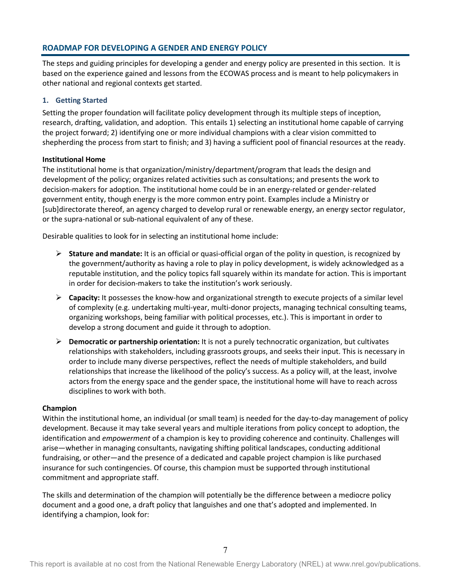# <span id="page-6-0"></span>**ROADMAP FOR DEVELOPING A GENDER AND ENERGY POLICY**

The steps and guiding principles for developing a gender and energy policy are presented in this section. It is based on the experience gained and lessons from the ECOWAS process and is meant to help policymakers in other national and regional contexts get started.

### <span id="page-6-1"></span>**1. Getting Started**

Setting the proper foundation will facilitate policy development through its multiple steps of inception, research, drafting, validation, and adoption. This entails 1) selecting an institutional home capable of carrying the project forward; 2) identifying one or more individual champions with a clear vision committed to shepherding the process from start to finish; and 3) having a sufficient pool of financial resources at the ready.

### <span id="page-6-2"></span>**Institutional Home**

The institutional home is that organization/ministry/department/program that leads the design and development of the policy; organizes related activities such as consultations; and presents the work to decision-makers for adoption. The institutional home could be in an energy-related or gender-related government entity, though energy is the more common entry point. Examples include a Ministry or [sub]directorate thereof, an agency charged to develop rural or renewable energy, an energy sector regulator, or the supra-national or sub-national equivalent of any of these.

Desirable qualities to look for in selecting an institutional home include:

- **Stature and mandate:** It is an official or quasi-official organ of the polity in question, is recognized by the government/authority as having a role to play in policy development, is widely acknowledged as a reputable institution, and the policy topics fall squarely within its mandate for action. This is important in order for decision-makers to take the institution's work seriously.
- **Capacity:** It possesses the know-how and organizational strength to execute projects of a similar level of complexity (e.g. undertaking multi-year, multi-donor projects, managing technical consulting teams, organizing workshops, being familiar with political processes, etc.). This is important in order to develop a strong document and guide it through to adoption.
- **Democratic or partnership orientation:** It is not a purely technocratic organization, but cultivates relationships with stakeholders, including grassroots groups, and seeks their input. This is necessary in order to include many diverse perspectives, reflect the needs of multiple stakeholders, and build relationships that increase the likelihood of the policy's success. As a policy will, at the least, involve actors from the energy space and the gender space, the institutional home will have to reach across disciplines to work with both.

#### <span id="page-6-3"></span>**Champion**

Within the institutional home, an individual (or small team) is needed for the day-to-day management of policy development. Because it may take several years and multiple iterations from policy concept to adoption, the identification and *empowerment* of a champion is key to providing coherence and continuity. Challenges will arise—whether in managing consultants, navigating shifting political landscapes, conducting additional fundraising, or other—and the presence of a dedicated and capable project champion is like purchased insurance for such contingencies. Of course, this champion must be supported through institutional commitment and appropriate staff.

The skills and determination of the champion will potentially be the difference between a mediocre policy document and a good one, a draft policy that languishes and one that's adopted and implemented. In identifying a champion, look for: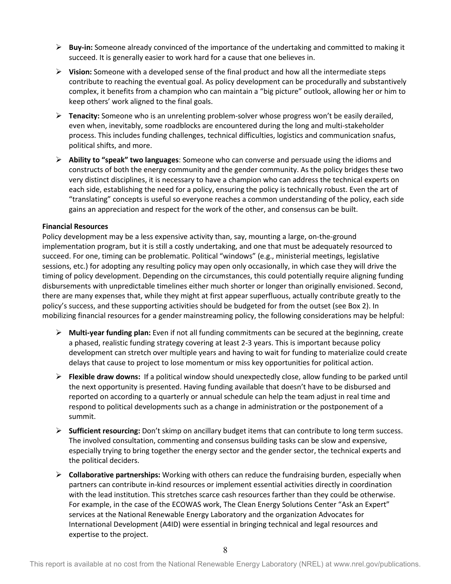- **Buy-in:** Someone already convinced of the importance of the undertaking and committed to making it succeed. It is generally easier to work hard for a cause that one believes in.
- **Vision:** Someone with a developed sense of the final product and how all the intermediate steps contribute to reaching the eventual goal. As policy development can be procedurally and substantively complex, it benefits from a champion who can maintain a "big picture" outlook, allowing her or him to keep others' work aligned to the final goals.
- **Tenacity:** Someone who is an unrelenting problem-solver whose progress won't be easily derailed, even when, inevitably, some roadblocks are encountered during the long and multi-stakeholder process. This includes funding challenges, technical difficulties, logistics and communication snafus, political shifts, and more.
- **Ability to "speak" two languages**: Someone who can converse and persuade using the idioms and constructs of both the energy community and the gender community. As the policy bridges these two very distinct disciplines, it is necessary to have a champion who can address the technical experts on each side, establishing the need for a policy, ensuring the policy is technically robust. Even the art of "translating" concepts is useful so everyone reaches a common understanding of the policy, each side gains an appreciation and respect for the work of the other, and consensus can be built.

### <span id="page-7-0"></span>**Financial Resources**

Policy development may be a less expensive activity than, say, mounting a large, on-the-ground implementation program, but it is still a costly undertaking, and one that must be adequately resourced to succeed. For one, timing can be problematic. Political "windows" (e.g., ministerial meetings, legislative sessions, etc.) for adopting any resulting policy may open only occasionally, in which case they will drive the timing of policy development. Depending on the circumstances, this could potentially require aligning funding disbursements with unpredictable timelines either much shorter or longer than originally envisioned. Second, there are many expenses that, while they might at first appear superfluous, actually contribute greatly to the policy's success, and these supporting activities should be budgeted for from the outset (see Box 2). In mobilizing financial resources for a gender mainstreaming policy, the following considerations may be helpful:

- **Multi-year funding plan:** Even if not all funding commitments can be secured at the beginning, create a phased, realistic funding strategy covering at least 2-3 years. This is important because policy development can stretch over multiple years and having to wait for funding to materialize could create delays that cause to project to lose momentum or miss key opportunities for political action.
- **Flexible draw downs:** If a political window should unexpectedly close, allow funding to be parked until the next opportunity is presented. Having funding available that doesn't have to be disbursed and reported on according to a quarterly or annual schedule can help the team adjust in real time and respond to political developments such as a change in administration or the postponement of a summit.
- **Sufficient resourcing:** Don't skimp on ancillary budget items that can contribute to long term success. The involved consultation, commenting and consensus building tasks can be slow and expensive, especially trying to bring together the energy sector and the gender sector, the technical experts and the political deciders.
- **Collaborative partnerships:** Working with others can reduce the fundraising burden, especially when partners can contribute in-kind resources or implement essential activities directly in coordination with the lead institution. This stretches scarce cash resources farther than they could be otherwise. For example, in the case of the ECOWAS work, The Clean Energy Solutions Center "Ask an Expert" services at the National Renewable Energy Laboratory and the organization Advocates for International Development (A4ID) were essential in bringing technical and legal resources and expertise to the project.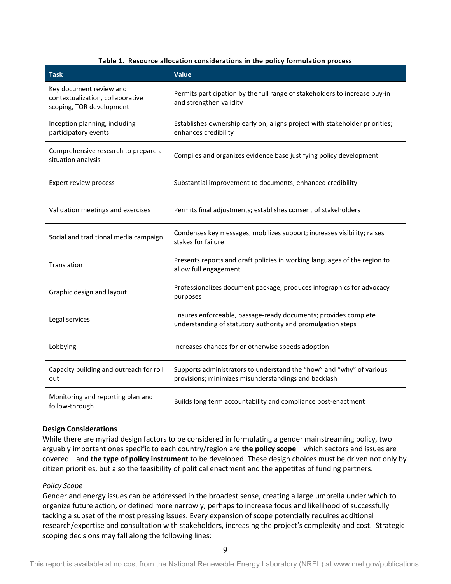#### **Table 1. Resource allocation considerations in the policy formulation process**

<span id="page-8-1"></span><span id="page-8-0"></span>

| <b>Task</b>                                                                             | <b>Value</b>                                                                                                                   |
|-----------------------------------------------------------------------------------------|--------------------------------------------------------------------------------------------------------------------------------|
| Key document review and<br>contextualization, collaborative<br>scoping, TOR development | Permits participation by the full range of stakeholders to increase buy-in<br>and strengthen validity                          |
| Inception planning, including<br>participatory events                                   | Establishes ownership early on; aligns project with stakeholder priorities;<br>enhances credibility                            |
| Comprehensive research to prepare a<br>situation analysis                               | Compiles and organizes evidence base justifying policy development                                                             |
| Expert review process                                                                   | Substantial improvement to documents; enhanced credibility                                                                     |
| Validation meetings and exercises                                                       | Permits final adjustments; establishes consent of stakeholders                                                                 |
| Social and traditional media campaign                                                   | Condenses key messages; mobilizes support; increases visibility; raises<br>stakes for failure                                  |
| Translation                                                                             | Presents reports and draft policies in working languages of the region to<br>allow full engagement                             |
| Graphic design and layout                                                               | Professionalizes document package; produces infographics for advocacy<br>purposes                                              |
| Legal services                                                                          | Ensures enforceable, passage-ready documents; provides complete<br>understanding of statutory authority and promulgation steps |
| Lobbying                                                                                | Increases chances for or otherwise speeds adoption                                                                             |
| Capacity building and outreach for roll<br>out                                          | Supports administrators to understand the "how" and "why" of various<br>provisions; minimizes misunderstandings and backlash   |
| Monitoring and reporting plan and<br>follow-through                                     | Builds long term accountability and compliance post-enactment                                                                  |

### **Design Considerations**

While there are myriad design factors to be considered in formulating a gender mainstreaming policy, two arguably important ones specific to each country/region are **the policy scope**—which sectors and issues are covered—and **the type of policy instrument** to be developed. These design choices must be driven not only by citizen priorities, but also the feasibility of political enactment and the appetites of funding partners.

### *Policy Scope*

Gender and energy issues can be addressed in the broadest sense, creating a large umbrella under which to organize future action, or defined more narrowly, perhaps to increase focus and likelihood of successfully tacking a subset of the most pressing issues. Every expansion of scope potentially requires additional research/expertise and consultation with stakeholders, increasing the project's complexity and cost. Strategic scoping decisions may fall along the following lines: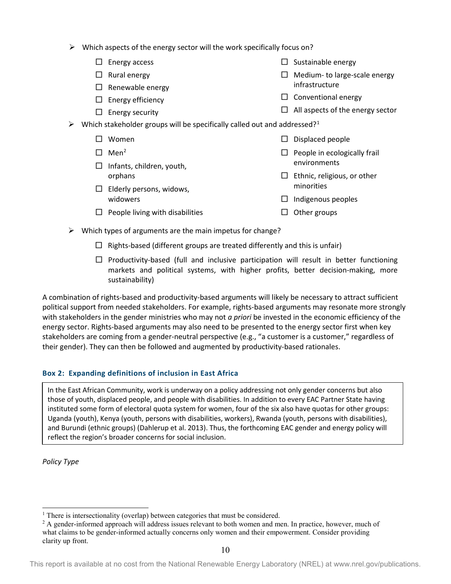- $\triangleright$  Which aspects of the energy sector will the work specifically focus on?
	- $\Box$  Energy access
	- $\Box$  Rural energy
	- $\Box$  Renewable energy
	- $\Box$  Energy efficiency
	- $\square$  Energy security
- $\Box$  Medium- to large-scale energy
	- infrastructure

 $\Box$  Sustainable energy

- $\Box$  Conventional energy
- $\Box$  All aspects of the energy sector
- $\triangleright$  Which stakeholder groups will be specifically called out and addressed?<sup>[1](#page-9-0)</sup>
	- □ Women
	- $\Box$  Men<sup>[2](#page-9-1)</sup>
	- $\Box$  Infants, children, youth, orphans
	- $\Box$  Elderly persons, widows, widowers
	- $\Box$  People living with disabilities
- $\square$  Displaced people
- $\Box$  People in ecologically frail environments
- $\Box$  Ethnic, religious, or other minorities
- $\Box$  Indigenous peoples
- $\Box$  Other groups
- $\triangleright$  Which types of arguments are the main impetus for change?
	- $\Box$  Rights-based (different groups are treated differently and this is unfair)
	- $\Box$  Productivity-based (full and inclusive participation will result in better functioning markets and political systems, with higher profits, better decision-making, more sustainability)

A combination of rights-based and productivity-based arguments will likely be necessary to attract sufficient political support from needed stakeholders. For example, rights-based arguments may resonate more strongly with stakeholders in the gender ministries who may not *a priori* be invested in the economic efficiency of the energy sector. Rights-based arguments may also need to be presented to the energy sector first when key stakeholders are coming from a gender-neutral perspective (e.g., "a customer is a customer," regardless of their gender). They can then be followed and augmented by productivity-based rationales.

# **Box 2: Expanding definitions of inclusion in East Africa**

In the East African Community, work is underway on a policy addressing not only gender concerns but also those of youth, displaced people, and people with disabilities. In addition to every EAC Partner State having instituted some form of electoral quota system for women, four of the six also have quotas for other groups: Uganda (youth), Kenya (youth, persons with disabilities, workers), Rwanda (youth, persons with disabilities), and Burundi (ethnic groups) (Dahlerup et al. 2013). Thus, the forthcoming EAC gender and energy policy will reflect the region's broader concerns for social inclusion.

*Policy Type*

<span id="page-9-0"></span><sup>&</sup>lt;sup>1</sup> There is intersectionality (overlap) between categories that must be considered.

<span id="page-9-1"></span><sup>&</sup>lt;sup>2</sup> A gender-informed approach will address issues relevant to both women and men. In practice, however, much of what claims to be gender-informed actually concerns only women and their empowerment. Consider providing clarity up front.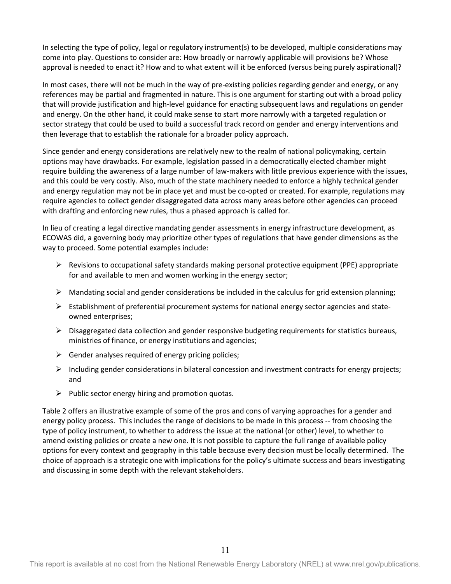In selecting the type of policy, legal or regulatory instrument(s) to be developed, multiple considerations may come into play. Questions to consider are: How broadly or narrowly applicable will provisions be? Whose approval is needed to enact it? How and to what extent will it be enforced (versus being purely aspirational)?

In most cases, there will not be much in the way of pre-existing policies regarding gender and energy, or any references may be partial and fragmented in nature. This is one argument for starting out with a broad policy that will provide justification and high-level guidance for enacting subsequent laws and regulations on gender and energy. On the other hand, it could make sense to start more narrowly with a targeted regulation or sector strategy that could be used to build a successful track record on gender and energy interventions and then leverage that to establish the rationale for a broader policy approach.

Since gender and energy considerations are relatively new to the realm of national policymaking, certain options may have drawbacks. For example, legislation passed in a democratically elected chamber might require building the awareness of a large number of law-makers with little previous experience with the issues, and this could be very costly. Also, much of the state machinery needed to enforce a highly technical gender and energy regulation may not be in place yet and must be co-opted or created. For example, regulations may require agencies to collect gender disaggregated data across many areas before other agencies can proceed with drafting and enforcing new rules, thus a phased approach is called for.

In lieu of creating a legal directive mandating gender assessments in energy infrastructure development, as ECOWAS did, a governing body may prioritize other types of regulations that have gender dimensions as the way to proceed. Some potential examples include:

- $\triangleright$  Revisions to occupational safety standards making personal protective equipment (PPE) appropriate for and available to men and women working in the energy sector;
- $\triangleright$  Mandating social and gender considerations be included in the calculus for grid extension planning;
- $\triangleright$  Establishment of preferential procurement systems for national energy sector agencies and stateowned enterprises;
- $\triangleright$  Disaggregated data collection and gender responsive budgeting requirements for statistics bureaus, ministries of finance, or energy institutions and agencies;
- $\triangleright$  Gender analyses required of energy pricing policies;
- $\triangleright$  Including gender considerations in bilateral concession and investment contracts for energy projects; and
- $\triangleright$  Public sector energy hiring and promotion quotas.

[Table 2](#page-11-0) offers an illustrative example of some of the pros and cons of varying approaches for a gender and energy policy process. This includes the range of decisions to be made in this process -- from choosing the type of policy instrument, to whether to address the issue at the national (or other) level, to whether to amend existing policies or create a new one. It is not possible to capture the full range of available policy options for every context and geography in this table because every decision must be locally determined. The choice of approach is a strategic one with implications for the policy's ultimate success and bears investigating and discussing in some depth with the relevant stakeholders.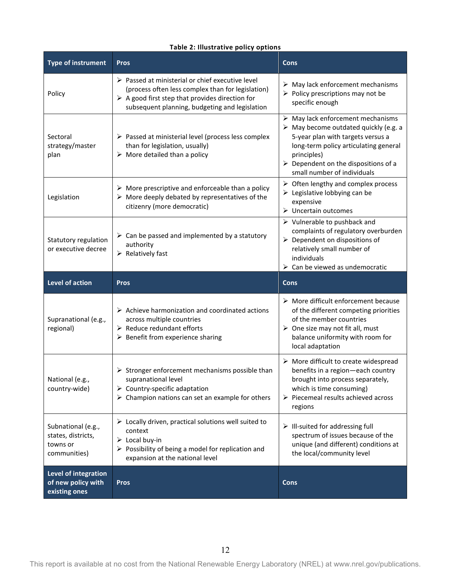# **Table 2: Illustrative policy options**

<span id="page-11-0"></span>

| <b>Type of instrument</b>                                            | <b>Pros</b>                                                                                                                                                                                                                              | <b>Cons</b>                                                                                                                                                                                                                                                                                 |
|----------------------------------------------------------------------|------------------------------------------------------------------------------------------------------------------------------------------------------------------------------------------------------------------------------------------|---------------------------------------------------------------------------------------------------------------------------------------------------------------------------------------------------------------------------------------------------------------------------------------------|
| Policy                                                               | $\triangleright$ Passed at ministerial or chief executive level<br>(process often less complex than for legislation)<br>$\triangleright$ A good first step that provides direction for<br>subsequent planning, budgeting and legislation | $\triangleright$ May lack enforcement mechanisms<br>$\triangleright$ Policy prescriptions may not be<br>specific enough                                                                                                                                                                     |
| Sectoral<br>strategy/master<br>plan                                  | $\triangleright$ Passed at ministerial level (process less complex<br>than for legislation, usually)<br>$\triangleright$ More detailed than a policy                                                                                     | $\triangleright$ May lack enforcement mechanisms<br>$\triangleright$ May become outdated quickly (e.g. a<br>5-year plan with targets versus a<br>long-term policy articulating general<br>principles)<br>$\triangleright$ Dependent on the dispositions of a<br>small number of individuals |
| Legislation                                                          | $\triangleright$ More prescriptive and enforceable than a policy<br>$\triangleright$ More deeply debated by representatives of the<br>citizenry (more democratic)                                                                        | $\triangleright$ Often lengthy and complex process<br>$\triangleright$ Legislative lobbying can be<br>expensive<br>$\triangleright$ Uncertain outcomes                                                                                                                                      |
| Statutory regulation<br>or executive decree                          | $\triangleright$ Can be passed and implemented by a statutory<br>authority<br>$\triangleright$ Relatively fast                                                                                                                           | $\triangleright$ Vulnerable to pushback and<br>complaints of regulatory overburden<br>$\triangleright$ Dependent on dispositions of<br>relatively small number of<br>individuals<br>$\triangleright$ Can be viewed as undemocratic                                                          |
|                                                                      |                                                                                                                                                                                                                                          |                                                                                                                                                                                                                                                                                             |
| Level of action                                                      | <b>Pros</b>                                                                                                                                                                                                                              | <b>Cons</b>                                                                                                                                                                                                                                                                                 |
| Supranational (e.g.,<br>regional)                                    | $\triangleright$ Achieve harmonization and coordinated actions<br>across multiple countries<br>$\triangleright$ Reduce redundant efforts<br>$\triangleright$ Benefit from experience sharing                                             | $\triangleright$ More difficult enforcement because<br>of the different competing priorities<br>of the member countries<br>$\triangleright$ One size may not fit all, must<br>balance uniformity with room for<br>local adaptation                                                          |
| National (e.g.,<br>country-wide)                                     | Stronger enforcement mechanisms possible than<br>supranational level<br>$\triangleright$ Country-specific adaptation<br>$\triangleright$ Champion nations can set an example for others                                                  | $\triangleright$ More difficult to create widespread<br>benefits in a region-each country<br>brought into process separately,<br>which is time consuming)<br>Piecemeal results achieved across<br>regions                                                                                   |
| Subnational (e.g.,<br>states, districts,<br>towns or<br>communities) | $\triangleright$ Locally driven, practical solutions well suited to<br>context<br>$\triangleright$ Local buy-in<br>$\triangleright$ Possibility of being a model for replication and<br>expansion at the national level                  | $\triangleright$ III-suited for addressing full<br>spectrum of issues because of the<br>unique (and different) conditions at<br>the local/community level                                                                                                                                   |

This report is available at no cost from the National Renewable Energy Laboratory (NREL) at www.nrel.gov/publications.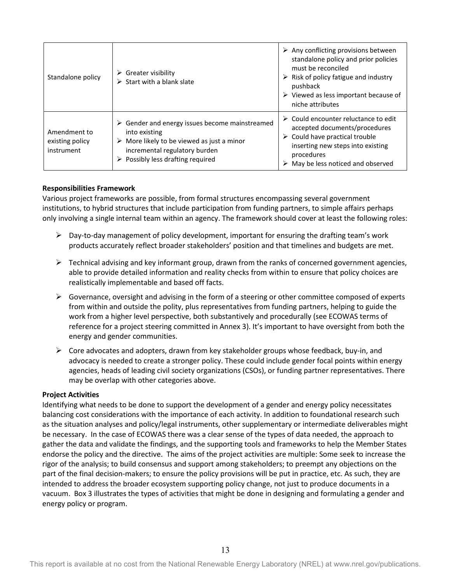| Standalone policy                             | $\triangleright$ Greater visibility<br>$\triangleright$ Start with a blank slate                                                                                                                                                 | $\triangleright$ Any conflicting provisions between<br>standalone policy and prior policies<br>must be reconciled<br>$\triangleright$ Risk of policy fatigue and industry<br>pushback<br>$\triangleright$ Viewed as less important because of<br>niche attributes |
|-----------------------------------------------|----------------------------------------------------------------------------------------------------------------------------------------------------------------------------------------------------------------------------------|-------------------------------------------------------------------------------------------------------------------------------------------------------------------------------------------------------------------------------------------------------------------|
| Amendment to<br>existing policy<br>instrument | $\triangleright$ Gender and energy issues become mainstreamed<br>into existing<br>$\triangleright$ More likely to be viewed as just a minor<br>incremental regulatory burden<br>$\triangleright$ Possibly less drafting required | $\triangleright$ Could encounter reluctance to edit<br>accepted documents/procedures<br>$\triangleright$ Could have practical trouble<br>inserting new steps into existing<br>procedures<br>May be less noticed and observed                                      |

### <span id="page-12-0"></span>**Responsibilities Framework**

Various project frameworks are possible, from formal structures encompassing several government institutions, to hybrid structures that include participation from funding partners, to simple affairs perhaps only involving a single internal team within an agency. The framework should cover at least the following roles:

- $\triangleright$  Day-to-day management of policy development, important for ensuring the drafting team's work products accurately reflect broader stakeholders' position and that timelines and budgets are met.
- $\triangleright$  Technical advising and key informant group, drawn from the ranks of concerned government agencies, able to provide detailed information and reality checks from within to ensure that policy choices are realistically implementable and based off facts.
- $\triangleright$  Governance, oversight and advising in the form of a steering or other committee composed of experts from within and outside the polity, plus representatives from funding partners, helping to guide the work from a higher level perspective, both substantively and procedurally (see ECOWAS terms of reference for a project steering committed in Annex 3). It's important to have oversight from both the energy and gender communities.
- $\triangleright$  Core advocates and adopters, drawn from key stakeholder groups whose feedback, buy-in, and advocacy is needed to create a stronger policy. These could include gender focal points within energy agencies, heads of leading civil society organizations (CSOs), or funding partner representatives. There may be overlap with other categories above.

#### <span id="page-12-1"></span>**Project Activities**

Identifying what needs to be done to support the development of a gender and energy policy necessitates balancing cost considerations with the importance of each activity. In addition to foundational research such as the situation analyses and policy/legal instruments, other supplementary or intermediate deliverables might be necessary. In the case of ECOWAS there was a clear sense of the types of data needed, the approach to gather the data and validate the findings, and the supporting tools and frameworks to help the Member States endorse the policy and the directive. The aims of the project activities are multiple: Some seek to increase the rigor of the analysis; to build consensus and support among stakeholders; to preempt any objections on the part of the final decision-makers; to ensure the policy provisions will be put in practice, etc. As such, they are intended to address the broader ecosystem supporting policy change, not just to produce documents in a vacuum. [Box 3](#page-13-2) illustrates the types of activities that might be done in designing and formulating a gender and energy policy or program.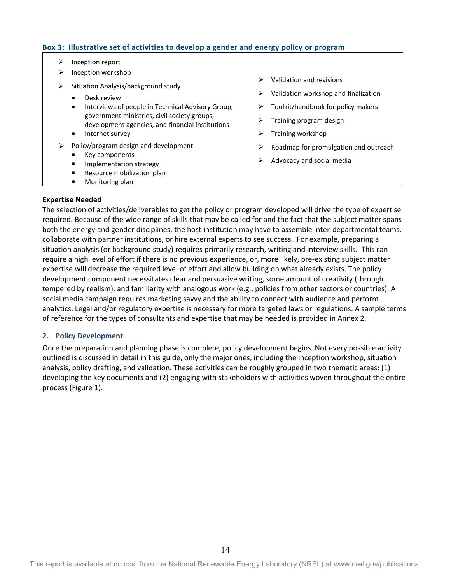### <span id="page-13-2"></span>**Box 3: Illustrative set of activities to develop a gender and energy policy or program**

- $\triangleright$  Inception report
- $\triangleright$  Inception workshop
- $\triangleright$  Situation Analysis/background study
	- Desk review
	- Interviews of people in Technical Advisory Group, government ministries, civil society groups, development agencies, and financial institutions
	- Internet survey
- $\triangleright$  Policy/program design and development
	- Key components
	- **Implementation strategy**
	- **Resource mobilization plan**
	- **Monitoring plan**
- $\triangleright$  Validation and revisions
- $\triangleright$  Validation workshop and finalization
- $\triangleright$  Toolkit/handbook for policy makers
- $\triangleright$  Training program design
- $\triangleright$  Training workshop
- $\triangleright$  Roadmap for promulgation and outreach
- $\triangleright$  Advocacy and social media

### <span id="page-13-0"></span>**Expertise Needed**

The selection of activities/deliverables to get the policy or program developed will drive the type of expertise required. Because of the wide range of skills that may be called for and the fact that the subject matter spans both the energy and gender disciplines, the host institution may have to assemble inter-departmental teams, collaborate with partner institutions, or hire external experts to see success. For example, preparing a situation analysis (or background study) requires primarily research, writing and interview skills. This can require a high level of effort if there is no previous experience, or, more likely, pre-existing subject matter expertise will decrease the required level of effort and allow building on what already exists. The policy development component necessitates clear and persuasive writing, some amount of creativity (through tempered by realism), and familiarity with analogous work (e.g., policies from other sectors or countries). A social media campaign requires marketing savvy and the ability to connect with audience and perform analytics. Legal and/or regulatory expertise is necessary for more targeted laws or regulations. A sample terms of reference for the types of consultants and expertise that may be needed is provided in Annex 2.

#### <span id="page-13-1"></span>**2. Policy Development**

Once the preparation and planning phase is complete, policy development begins. Not every possible activity outlined is discussed in detail in this guide, only the major ones, including the inception workshop, situation analysis, policy drafting, and validation. These activities can be roughly grouped in two thematic areas: (1) developing the key documents and (2) engaging with stakeholders with activities woven throughout the entire process [\(Figure 1\)](#page-14-1).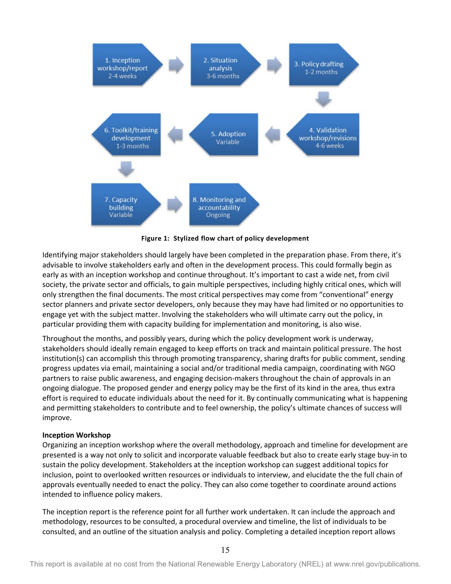

**Figure 1: Stylized flow chart of policy development**

<span id="page-14-1"></span>Identifying major stakeholders should largely have been completed in the preparation phase. From there, it's advisable to involve stakeholders early and often in the development process. This could formally begin as early as with an inception workshop and continue throughout. It's important to cast a wide net, from civil society, the private sector and officials, to gain multiple perspectives, including highly critical ones, which will only strengthen the final documents. The most critical perspectives may come from "conventional" energy sector planners and private sector developers, only because they may have had limited or no opportunities to engage yet with the subject matter. Involving the stakeholders who will ultimate carry out the policy, in particular providing them with capacity building for implementation and monitoring, is also wise.

Throughout the months, and possibly years, during which the policy development work is underway, stakeholders should ideally remain engaged to keep efforts on track and maintain political pressure. The host institution(s) can accomplish this through promoting transparency, sharing drafts for public comment, sending progress updates via email, maintaining a social and/or traditional media campaign, coordinating with NGO partners to raise public awareness, and engaging decision-makers throughout the chain of approvals in an ongoing dialogue. The proposed gender and energy policy may be the first of its kind in the area, thus extra effort is required to educate individuals about the need for it. By continually communicating what is happening and permitting stakeholders to contribute and to feel ownership, the policy's ultimate chances of success will improve.

### <span id="page-14-0"></span>**Inception Workshop**

Organizing an inception workshop where the overall methodology, approach and timeline for development are presented is a way not only to solicit and incorporate valuable feedback but also to create early stage buy-in to sustain the policy development. Stakeholders at the inception workshop can suggest additional topics for inclusion, point to overlooked written resources or individuals to interview, and elucidate the the full chain of approvals eventually needed to enact the policy. They can also come together to coordinate around actions intended to influence policy makers.

The inception report is the reference point for all further work undertaken. It can include the approach and methodology, resources to be consulted, a procedural overview and timeline, the list of individuals to be consulted, and an outline of the situation analysis and policy. Completing a detailed inception report allows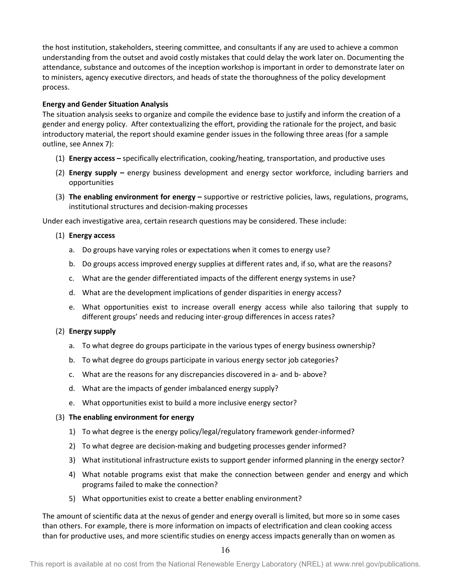the host institution, stakeholders, steering committee, and consultants if any are used to achieve a common understanding from the outset and avoid costly mistakes that could delay the work later on. Documenting the attendance, substance and outcomes of the inception workshop is important in order to demonstrate later on to ministers, agency executive directors, and heads of state the thoroughness of the policy development process.

### <span id="page-15-0"></span>**Energy and Gender Situation Analysis**

The situation analysis seeks to organize and compile the evidence base to justify and inform the creation of a gender and energy policy. After contextualizing the effort, providing the rationale for the project, and basic introductory material, the report should examine gender issues in the following three areas (for a sample outline, see Annex 7):

- (1) **Energy access –** specifically electrification, cooking/heating, transportation, and productive uses
- (2) **Energy supply –** energy business development and energy sector workforce, including barriers and opportunities
- (3) **The enabling environment for energy –** supportive or restrictive policies, laws, regulations, programs, institutional structures and decision-making processes

Under each investigative area, certain research questions may be considered. These include:

## (1) **Energy access**

- a. Do groups have varying roles or expectations when it comes to energy use?
- b. Do groups access improved energy supplies at different rates and, if so, what are the reasons?
- c. What are the gender differentiated impacts of the different energy systems in use?
- d. What are the development implications of gender disparities in energy access?
- e. What opportunities exist to increase overall energy access while also tailoring that supply to different groups' needs and reducing inter-group differences in access rates?

### (2) **Energy supply**

- a. To what degree do groups participate in the various types of energy business ownership?
- b. To what degree do groups participate in various energy sector job categories?
- c. What are the reasons for any discrepancies discovered in a- and b- above?
- d. What are the impacts of gender imbalanced energy supply?
- e. What opportunities exist to build a more inclusive energy sector?

### (3) **The enabling environment for energy**

- 1) To what degree is the energy policy/legal/regulatory framework gender-informed?
- 2) To what degree are decision-making and budgeting processes gender informed?
- 3) What institutional infrastructure exists to support gender informed planning in the energy sector?
- 4) What notable programs exist that make the connection between gender and energy and which programs failed to make the connection?
- 5) What opportunities exist to create a better enabling environment?

The amount of scientific data at the nexus of gender and energy overall is limited, but more so in some cases than others. For example, there is more information on impacts of electrification and clean cooking access than for productive uses, and more scientific studies on energy access impacts generally than on women as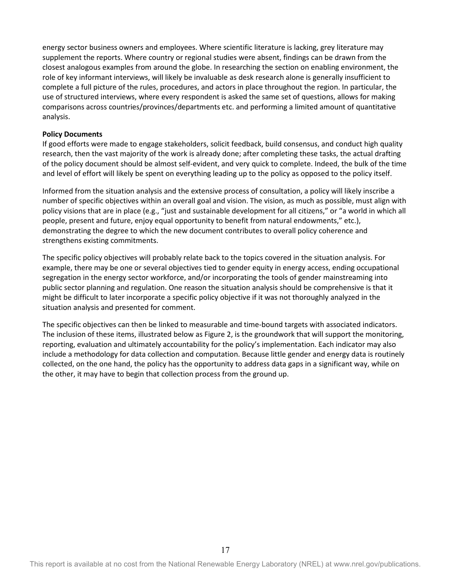energy sector business owners and employees. Where scientific literature is lacking, grey literature may supplement the reports. Where country or regional studies were absent, findings can be drawn from the closest analogous examples from around the globe. In researching the section on enabling environment, the role of key informant interviews, will likely be invaluable as desk research alone is generally insufficient to complete a full picture of the rules, procedures, and actors in place throughout the region. In particular, the use of structured interviews, where every respondent is asked the same set of questions, allows for making comparisons across countries/provinces/departments etc. and performing a limited amount of quantitative analysis.

### <span id="page-16-0"></span>**Policy Documents**

If good efforts were made to engage stakeholders, solicit feedback, build consensus, and conduct high quality research, then the vast majority of the work is already done; after completing these tasks, the actual drafting of the policy document should be almost self-evident, and very quick to complete. Indeed, the bulk of the time and level of effort will likely be spent on everything leading up to the policy as opposed to the policy itself.

Informed from the situation analysis and the extensive process of consultation, a policy will likely inscribe a number of specific objectives within an overall goal and vision. The vision, as much as possible, must align with policy visions that are in place (e.g., "just and sustainable development for all citizens," or "a world in which all people, present and future, enjoy equal opportunity to benefit from natural endowments," etc.), demonstrating the degree to which the new document contributes to overall policy coherence and strengthens existing commitments.

The specific policy objectives will probably relate back to the topics covered in the situation analysis. For example, there may be one or several objectives tied to gender equity in energy access, ending occupational segregation in the energy sector workforce, and/or incorporating the tools of gender mainstreaming into public sector planning and regulation. One reason the situation analysis should be comprehensive is that it might be difficult to later incorporate a specific policy objective if it was not thoroughly analyzed in the situation analysis and presented for comment.

The specific objectives can then be linked to measurable and time-bound targets with associated indicators. The inclusion of these items, illustrate[d below](#page-17-1) a[s Figure 2,](#page-17-1) is the groundwork that will support the monitoring, reporting, evaluation and ultimately accountability for the policy's implementation. Each indicator may also include a methodology for data collection and computation. Because little gender and energy data is routinely collected, on the one hand, the policy has the opportunity to address data gaps in a significant way, while on the other, it may have to begin that collection process from the ground up.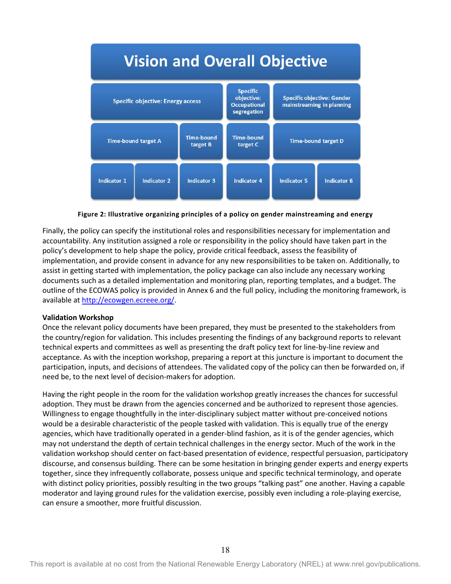

#### **Figure 2: Illustrative organizing principles of a policy on gender mainstreaming and energy**

<span id="page-17-1"></span>Finally, the policy can specify the institutional roles and responsibilities necessary for implementation and accountability. Any institution assigned a role or responsibility in the policy should have taken part in the policy's development to help shape the policy, provide critical feedback, assess the feasibility of implementation, and provide consent in advance for any new responsibilities to be taken on. Additionally, to assist in getting started with implementation, the policy package can also include any necessary working documents such as a detailed implementation and monitoring plan, reporting templates, and a budget. The outline of the ECOWAS policy is provided in Annex 6 and the full policy, including the monitoring framework, is available at [http://ecowgen.ecreee.org/.](http://ecowgen.ecreee.org/)

#### <span id="page-17-0"></span>**Validation Workshop**

Once the relevant policy documents have been prepared, they must be presented to the stakeholders from the country/region for validation. This includes presenting the findings of any background reports to relevant technical experts and committees as well as presenting the draft policy text for line-by-line review and acceptance. As with the inception workshop, preparing a report at this juncture is important to document the participation, inputs, and decisions of attendees. The validated copy of the policy can then be forwarded on, if need be, to the next level of decision-makers for adoption.

Having the right people in the room for the validation workshop greatly increases the chances for successful adoption. They must be drawn from the agencies concerned and be authorized to represent those agencies. Willingness to engage thoughtfully in the inter-disciplinary subject matter without pre-conceived notions would be a desirable characteristic of the people tasked with validation. This is equally true of the energy agencies, which have traditionally operated in a gender-blind fashion, as it is of the gender agencies, which may not understand the depth of certain technical challenges in the energy sector. Much of the work in the validation workshop should center on fact-based presentation of evidence, respectful persuasion, participatory discourse, and consensus building. There can be some hesitation in bringing gender experts and energy experts together, since they infrequently collaborate, possess unique and specific technical terminology, and operate with distinct policy priorities, possibly resulting in the two groups "talking past" one another. Having a capable moderator and laying ground rules for the validation exercise, possibly even including a role-playing exercise, can ensure a smoother, more fruitful discussion.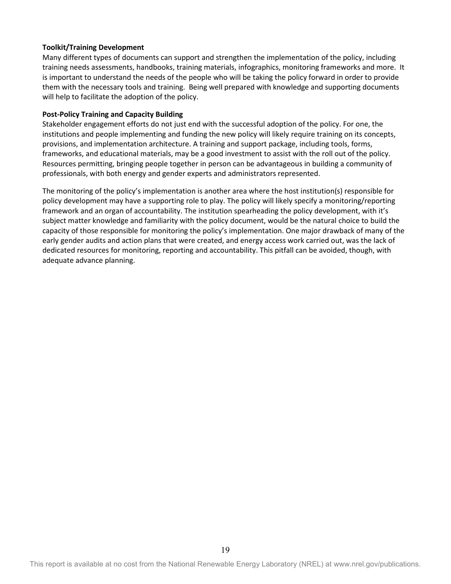### <span id="page-18-0"></span>**Toolkit/Training Development**

Many different types of documents can support and strengthen the implementation of the policy, including training needs assessments, handbooks, training materials, infographics, monitoring frameworks and more. It is important to understand the needs of the people who will be taking the policy forward in order to provide them with the necessary tools and training. Being well prepared with knowledge and supporting documents will help to facilitate the adoption of the policy.

### <span id="page-18-1"></span>**Post-Policy Training and Capacity Building**

Stakeholder engagement efforts do not just end with the successful adoption of the policy. For one, the institutions and people implementing and funding the new policy will likely require training on its concepts, provisions, and implementation architecture. A training and support package, including tools, forms, frameworks, and educational materials, may be a good investment to assist with the roll out of the policy. Resources permitting, bringing people together in person can be advantageous in building a community of professionals, with both energy and gender experts and administrators represented.

The monitoring of the policy's implementation is another area where the host institution(s) responsible for policy development may have a supporting role to play. The policy will likely specify a monitoring/reporting framework and an organ of accountability. The institution spearheading the policy development, with it's subject matter knowledge and familiarity with the policy document, would be the natural choice to build the capacity of those responsible for monitoring the policy's implementation. One major drawback of many of the early gender audits and action plans that were created, and energy access work carried out, was the lack of dedicated resources for monitoring, reporting and accountability. This pitfall can be avoided, though, with adequate advance planning.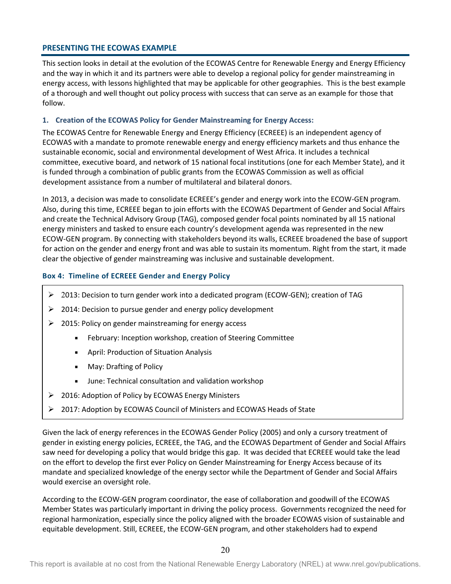### <span id="page-19-0"></span>**PRESENTING THE ECOWAS EXAMPLE**

This section looks in detail at the evolution of the ECOWAS Centre for Renewable Energy and Energy Efficiency and the way in which it and its partners were able to develop a regional policy for gender mainstreaming in energy access, with lessons highlighted that may be applicable for other geographies. This is the best example of a thorough and well thought out policy process with success that can serve as an example for those that follow.

### <span id="page-19-1"></span>**1. Creation of the ECOWAS Policy for Gender Mainstreaming for Energy Access:**

The ECOWAS Centre for Renewable Energy and Energy Efficiency (ECREEE) is an independent agency of ECOWAS with a mandate to promote renewable energy and energy efficiency markets and thus enhance the sustainable economic, social and environmental development of West Africa. It includes a technical committee, executive board, and network of 15 national focal institutions (one for each Member State), and it is funded through a combination of public grants from the ECOWAS Commission as well as official development assistance from a number of multilateral and bilateral donors.

In 2013, a decision was made to consolidate ECREEE's gender and energy work into the ECOW-GEN program. Also, during this time, ECREEE began to join efforts with the ECOWAS Department of Gender and Social Affairs and create the Technical Advisory Group (TAG), composed gender focal points nominated by all 15 national energy ministers and tasked to ensure each country's development agenda was represented in the new ECOW-GEN program. By connecting with stakeholders beyond its walls, ECREEE broadened the base of support for action on the gender and energy front and was able to sustain its momentum. Right from the start, it made clear the objective of gender mainstreaming was inclusive and sustainable development.

## **Box 4: Timeline of ECREEE Gender and Energy Policy**

- $\geq 2013$ : Decision to turn gender work into a dedicated program (ECOW-GEN); creation of TAG
- $\geq$  2014: Decision to pursue gender and energy policy development
- $\geq$  2015: Policy on gender mainstreaming for energy access
	- February: Inception workshop, creation of Steering Committee
	- April: Production of Situation Analysis
	- **May: Drafting of Policy**
	- June: Technical consultation and validation workshop
- 2016: Adoption of Policy by ECOWAS Energy Ministers
- 2017: Adoption by ECOWAS Council of Ministers and ECOWAS Heads of State

Given the lack of energy references in the ECOWAS Gender Policy (2005) and only a cursory treatment of gender in existing energy policies, ECREEE, the TAG, and the ECOWAS Department of Gender and Social Affairs saw need for developing a policy that would bridge this gap. It was decided that ECREEE would take the lead on the effort to develop the first ever Policy on Gender Mainstreaming for Energy Access because of its mandate and specialized knowledge of the energy sector while the Department of Gender and Social Affairs would exercise an oversight role.

According to the ECOW-GEN program coordinator, the ease of collaboration and goodwill of the ECOWAS Member States was particularly important in driving the policy process. Governments recognized the need for regional harmonization, especially since the policy aligned with the broader ECOWAS vision of sustainable and equitable development. Still, ECREEE, the ECOW-GEN program, and other stakeholders had to expend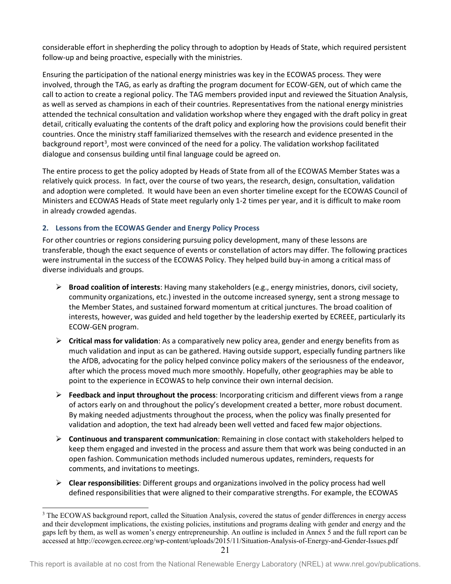considerable effort in shepherding the policy through to adoption by Heads of State, which required persistent follow-up and being proactive, especially with the ministries.

Ensuring the participation of the national energy ministries was key in the ECOWAS process. They were involved, through the TAG, as early as drafting the program document for ECOW-GEN, out of which came the call to action to create a regional policy. The TAG members provided input and reviewed the Situation Analysis, as well as served as champions in each of their countries. Representatives from the national energy ministries attended the technical consultation and validation workshop where they engaged with the draft policy in great detail, critically evaluating the contents of the draft policy and exploring how the provisions could benefit their countries. Once the ministry staff familiarized themselves with the research and evidence presented in the background report<sup>[3](#page-20-1)</sup>, most were convinced of the need for a policy. The validation workshop facilitated dialogue and consensus building until final language could be agreed on.

The entire process to get the policy adopted by Heads of State from all of the ECOWAS Member States was a relatively quick process. In fact, over the course of two years, the research, design, consultation, validation and adoption were completed. It would have been an even shorter timeline except for the ECOWAS Council of Ministers and ECOWAS Heads of State meet regularly only 1-2 times per year, and it is difficult to make room in already crowded agendas.

# <span id="page-20-0"></span>**2. Lessons from the ECOWAS Gender and Energy Policy Process**

For other countries or regions considering pursuing policy development, many of these lessons are transferable, though the exact sequence of events or constellation of actors may differ. The following practices were instrumental in the success of the ECOWAS Policy. They helped build buy-in among a critical mass of diverse individuals and groups.

- **Broad coalition of interests**: Having many stakeholders (e.g., energy ministries, donors, civil society, community organizations, etc.) invested in the outcome increased synergy, sent a strong message to the Member States, and sustained forward momentum at critical junctures. The broad coalition of interests, however, was guided and held together by the leadership exerted by ECREEE, particularly its ECOW-GEN program.
- **Critical mass for validation**: As a comparatively new policy area, gender and energy benefits from as much validation and input as can be gathered. Having outside support, especially funding partners like the AfDB, advocating for the policy helped convince policy makers of the seriousness of the endeavor, after which the process moved much more smoothly. Hopefully, other geographies may be able to point to the experience in ECOWAS to help convince their own internal decision.
- **Feedback and input throughout the process**: Incorporating criticism and different views from a range of actors early on and throughout the policy's development created a better, more robust document. By making needed adjustments throughout the process, when the policy was finally presented for validation and adoption, the text had already been well vetted and faced few major objections.
- **Continuous and transparent communication**: Remaining in close contact with stakeholders helped to keep them engaged and invested in the process and assure them that work was being conducted in an open fashion. Communication methods included numerous updates, reminders, requests for comments, and invitations to meetings.
- **Clear responsibilities**: Different groups and organizations involved in the policy process had well defined responsibilities that were aligned to their comparative strengths. For example, the ECOWAS

<span id="page-20-1"></span><sup>&</sup>lt;sup>3</sup> The ECOWAS background report, called the Situation Analysis, covered the status of gender differences in energy access and their development implications, the existing policies, institutions and programs dealing with gender and energy and the gaps left by them, as well as women's energy entrepreneurship. An outline is included in Annex 5 and the full report can be accessed at http://ecowgen.ecreee.org/wp-content/uploads/2015/11/Situation-Analysis-of-Energy-and-Gender-Issues.pdf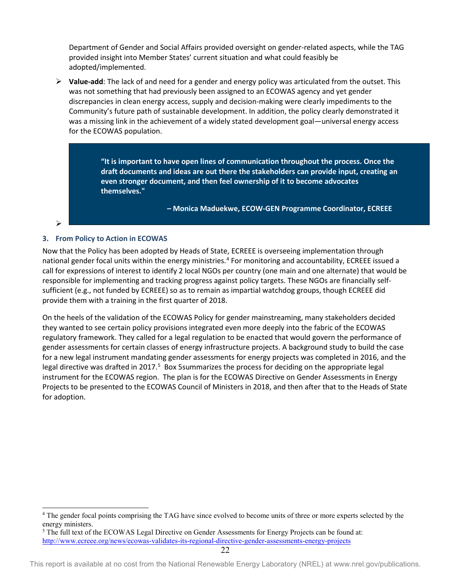Department of Gender and Social Affairs provided oversight on gender-related aspects, while the TAG provided insight into Member States' current situation and what could feasibly be adopted/implemented.

 **Value-add**: The lack of and need for a gender and energy policy was articulated from the outset. This was not something that had previously been assigned to an ECOWAS agency and yet gender discrepancies in clean energy access, supply and decision-making were clearly impediments to the Community's future path of sustainable development. In addition, the policy clearly demonstrated it was a missing link in the achievement of a widely stated development goal—universal energy access for the ECOWAS population.

> **"It is important to have open lines of communication throughout the process. Once the draft documents and ideas are out there the stakeholders can provide input, creating an even stronger document, and then feel ownership of it to become advocates themselves."**

> > **– Monica Maduekwe, ECOW-GEN Programme Coordinator, ECREEE**

#### $\blacktriangleright$

### <span id="page-21-0"></span>**3. From Policy to Action in ECOWAS**

Now that the Policy has been adopted by Heads of State, ECREEE is overseeing implementation through national gender focal units within the energy ministries.<sup>[4](#page-21-2)</sup> For monitoring and accountability, ECREEE issued a call for expressions of interest to identify 2 local NGOs per country (one main and one alternate) that would be responsible for implementing and tracking progress against policy targets. These NGOs are financially selfsufficient (e.g., not funded by ECREEE) so as to remain as impartial watchdog groups, though ECREEE did provide them with a training in the first quarter of 2018.

<span id="page-21-1"></span>On the heels of the validation of the ECOWAS Policy for gender mainstreaming, many stakeholders decided they wanted to see certain policy provisions integrated even more deeply into the fabric of the ECOWAS regulatory framework. They called for a legal regulation to be enacted that would govern the performance of gender assessments for certain classes of energy infrastructure projects. A background study to build the case for a new legal instrument mandating gender assessments for energy projects was completed in 2016, and the legal directive was drafted in 2017.<sup>5</sup> [Box 5s](#page-21-1)ummarizes the process for deciding on the appropriate legal instrument for the ECOWAS region. The plan is for the ECOWAS Directive on Gender Assessments in Energy Projects to be presented to the ECOWAS Council of Ministers in 2018, and then after that to the Heads of State for adoption.

This report is available at no cost from the National Renewable Energy Laboratory (NREL) at www.nrel.gov/publications.

<span id="page-21-2"></span> <sup>4</sup> The gender focal points comprising the TAG have since evolved to become units of three or more experts selected by the energy ministers.

<span id="page-21-3"></span><sup>5</sup> The full text of the ECOWAS Legal Directive on Gender Assessments for Energy Projects can be found at: <http://www.ecreee.org/news/ecowas-validates-its-regional-directive-gender-assessments-energy-projects>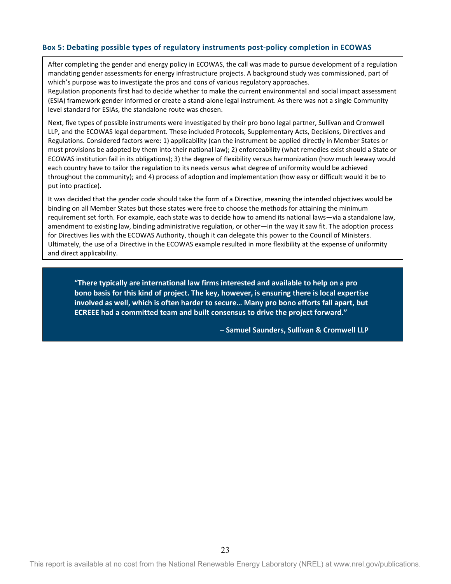### **Box 5: Debating possible types of regulatory instruments post-policy completion in ECOWAS**

After completing the gender and energy policy in ECOWAS, the call was made to pursue development of a regulation mandating gender assessments for energy infrastructure projects. A background study was commissioned, part of which's purpose was to investigate the pros and cons of various regulatory approaches.

Regulation proponents first had to decide whether to make the current environmental and social impact assessment (ESIA) framework gender informed or create a stand-alone legal instrument. As there was not a single Community level standard for ESIAs, the standalone route was chosen.

Next, five types of possible instruments were investigated by their pro bono legal partner, Sullivan and Cromwell LLP, and the ECOWAS legal department. These included Protocols, Supplementary Acts, Decisions, Directives and Regulations. Considered factors were: 1) applicability (can the instrument be applied directly in Member States or must provisions be adopted by them into their national law); 2) enforceability (what remedies exist should a State or ECOWAS institution fail in its obligations); 3) the degree of flexibility versus harmonization (how much leeway would each country have to tailor the regulation to its needs versus what degree of uniformity would be achieved throughout the community); and 4) process of adoption and implementation (how easy or difficult would it be to put into practice).

It was decided that the gender code should take the form of a Directive, meaning the intended objectives would be binding on all Member States but those states were free to choose the methods for attaining the minimum requirement set forth. For example, each state was to decide how to amend its national laws—via a standalone law, amendment to existing law, binding administrative regulation, or other—in the way it saw fit. The adoption process for Directives lies with the ECOWAS Authority, though it can delegate this power to the Council of Ministers. Ultimately, the use of a Directive in the ECOWAS example resulted in more flexibility at the expense of uniformity and direct applicability.

**"There typically are international law firms interested and available to help on a pro bono basis for this kind of project. The key, however, is ensuring there is local expertise involved as well, which is often harder to secure… Many pro bono efforts fall apart, but ECREEE had a committed team and built consensus to drive the project forward."**

**– Samuel Saunders, Sullivan & Cromwell LLP**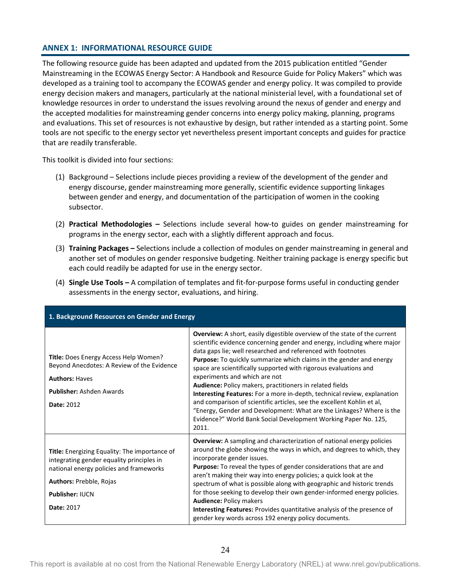# <span id="page-23-0"></span>**ANNEX 1: INFORMATIONAL RESOURCE GUIDE**

The following resource guide has been adapted and updated from the 2015 publication entitled "Gender Mainstreaming in the ECOWAS Energy Sector: A Handbook and Resource Guide for Policy Makers" which was developed as a training tool to accompany the ECOWAS gender and energy policy. It was compiled to provide energy decision makers and managers, particularly at the national ministerial level, with a foundational set of knowledge resources in order to understand the issues revolving around the nexus of gender and energy and the accepted modalities for mainstreaming gender concerns into energy policy making, planning, programs and evaluations. This set of resources is not exhaustive by design, but rather intended as a starting point. Some tools are not specific to the energy sector yet nevertheless present important concepts and guides for practice that are readily transferable.

This toolkit is divided into four sections:

- (1) Background Selections include pieces providing a review of the development of the gender and energy discourse, gender mainstreaming more generally, scientific evidence supporting linkages between gender and energy, and documentation of the participation of women in the cooking subsector.
- (2) **Practical Methodologies –** Selections include several how-to guides on gender mainstreaming for programs in the energy sector, each with a slightly different approach and focus.
- (3) **Training Packages –** Selections include a collection of modules on gender mainstreaming in general and another set of modules on gender responsive budgeting. Neither training package is energy specific but each could readily be adapted for use in the energy sector.
- (4) **Single Use Tools –** A compilation of templates and fit-for-purpose forms useful in conducting gender assessments in the energy sector, evaluations, and hiring.

| 1. Background Resources on Gender and Energy                                                                                                                                                                           |                                                                                                                                                                                                                                                                                                                                                                                                                                                                                                                                                                                                                                                                                                                                                                                             |  |  |
|------------------------------------------------------------------------------------------------------------------------------------------------------------------------------------------------------------------------|---------------------------------------------------------------------------------------------------------------------------------------------------------------------------------------------------------------------------------------------------------------------------------------------------------------------------------------------------------------------------------------------------------------------------------------------------------------------------------------------------------------------------------------------------------------------------------------------------------------------------------------------------------------------------------------------------------------------------------------------------------------------------------------------|--|--|
| Title: Does Energy Access Help Women?<br>Beyond Anecdotes: A Review of the Evidence<br><b>Authors: Haves</b><br><b>Publisher: Ashden Awards</b><br><b>Date: 2012</b>                                                   | <b>Overview:</b> A short, easily digestible overview of the state of the current<br>scientific evidence concerning gender and energy, including where major<br>data gaps lie; well researched and referenced with footnotes<br><b>Purpose:</b> To quickly summarize which claims in the gender and energy<br>space are scientifically supported with rigorous evaluations and<br>experiments and which are not<br>Audience: Policy makers, practitioners in related fields<br><b>Interesting Features:</b> For a more in-depth, technical review, explanation<br>and comparison of scientific articles, see the excellent Kohlin et al,<br>"Energy, Gender and Development: What are the Linkages? Where is the<br>Evidence?" World Bank Social Development Working Paper No. 125,<br>2011. |  |  |
| <b>Title:</b> Energizing Equality: The importance of<br>integrating gender equality principles in<br>national energy policies and frameworks<br>Authors: Prebble, Rojas<br><b>Publisher: IUCN</b><br><b>Date: 2017</b> | <b>Overview:</b> A sampling and characterization of national energy policies<br>around the globe showing the ways in which, and degrees to which, they<br>incorporate gender issues.<br><b>Purpose:</b> To reveal the types of gender considerations that are and<br>aren't making their way into energy policies; a quick look at the<br>spectrum of what is possible along with geographic and historic trends<br>for those seeking to develop their own gender-informed energy policies.<br><b>Audience: Policy makers</b><br>Interesting Features: Provides quantitative analysis of the presence of<br>gender key words across 192 energy policy documents.                                                                                                                            |  |  |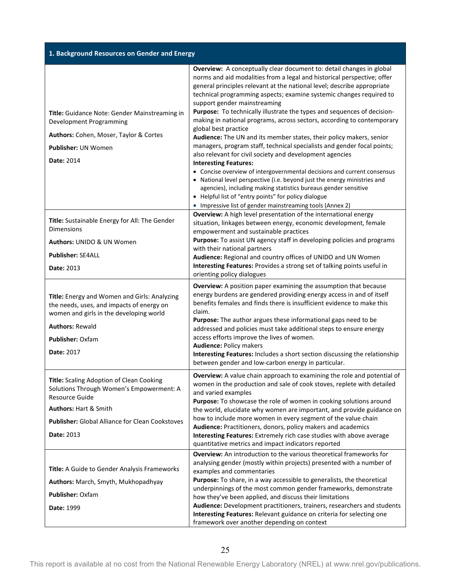| 1. Background Resources on Gender and Energy                                                                                                                                                                   |                                                                                                                                                                                                                                                                                                                                                                                                                                                                                                                                                                                                                                                                                                                                                                                                                                                                                                                                                                                                                                                                                                                    |  |  |
|----------------------------------------------------------------------------------------------------------------------------------------------------------------------------------------------------------------|--------------------------------------------------------------------------------------------------------------------------------------------------------------------------------------------------------------------------------------------------------------------------------------------------------------------------------------------------------------------------------------------------------------------------------------------------------------------------------------------------------------------------------------------------------------------------------------------------------------------------------------------------------------------------------------------------------------------------------------------------------------------------------------------------------------------------------------------------------------------------------------------------------------------------------------------------------------------------------------------------------------------------------------------------------------------------------------------------------------------|--|--|
| Title: Guidance Note: Gender Mainstreaming in<br>Development Programming<br>Authors: Cohen, Moser, Taylor & Cortes<br><b>Publisher: UN Women</b><br><b>Date: 2014</b>                                          | <b>Overview:</b> A conceptually clear document to: detail changes in global<br>norms and aid modalities from a legal and historical perspective; offer<br>general principles relevant at the national level; describe appropriate<br>technical programming aspects; examine systemic changes required to<br>support gender mainstreaming<br>Purpose: To technically illustrate the types and sequences of decision-<br>making in national programs, across sectors, according to contemporary<br>global best practice<br>Audience: The UN and its member states, their policy makers, senior<br>managers, program staff, technical specialists and gender focal points;<br>also relevant for civil society and development agencies<br><b>Interesting Features:</b><br>• Concise overview of intergovernmental decisions and current consensus<br>• National level perspective (i.e. beyond just the energy ministries and<br>agencies), including making statistics bureaus gender sensitive<br>• Helpful list of "entry points" for policy dialogue<br>• Impressive list of gender mainstreaming tools (Annex 2) |  |  |
| Title: Sustainable Energy for All: The Gender<br><b>Dimensions</b><br>Authors: UNIDO & UN Women<br><b>Publisher: SE4ALL</b><br><b>Date: 2013</b>                                                               | Overview: A high level presentation of the international energy<br>situation, linkages between energy, economic development, female<br>empowerment and sustainable practices<br>Purpose: To assist UN agency staff in developing policies and programs<br>with their national partners<br>Audience: Regional and country offices of UNIDO and UN Women<br>Interesting Features: Provides a strong set of talking points useful in<br>orienting policy dialogues                                                                                                                                                                                                                                                                                                                                                                                                                                                                                                                                                                                                                                                    |  |  |
| Title: Energy and Women and Girls: Analyzing<br>the needs, uses, and impacts of energy on<br>women and girls in the developing world<br><b>Authors: Rewald</b><br><b>Publisher: Oxfam</b><br><b>Date: 2017</b> | Overview: A position paper examining the assumption that because<br>energy burdens are gendered providing energy access in and of itself<br>benefits females and finds there is insufficient evidence to make this<br>claim.<br>Purpose: The author argues these informational gaps need to be<br>addressed and policies must take additional steps to ensure energy<br>access efforts improve the lives of women.<br><b>Audience: Policy makers</b><br>Interesting Features: Includes a short section discussing the relationship<br>between gender and low-carbon energy in particular.                                                                                                                                                                                                                                                                                                                                                                                                                                                                                                                          |  |  |
| Title: Scaling Adoption of Clean Cooking<br>Solutions Through Women's Empowerment: A<br>Resource Guide<br>Authors: Hart & Smith<br><b>Publisher: Global Alliance for Clean Cookstoves</b><br>Date: 2013        | Overview: A value chain approach to examining the role and potential of<br>women in the production and sale of cook stoves, replete with detailed<br>and varied examples<br>Purpose: To showcase the role of women in cooking solutions around<br>the world, elucidate why women are important, and provide guidance on<br>how to include more women in every segment of the value chain<br>Audience: Practitioners, donors, policy makers and academics<br>Interesting Features: Extremely rich case studies with above average<br>quantitative metrics and impact indicators reported                                                                                                                                                                                                                                                                                                                                                                                                                                                                                                                            |  |  |
| <b>Title:</b> A Guide to Gender Analysis Frameworks<br>Authors: March, Smyth, Mukhopadhyay<br><b>Publisher: Oxfam</b><br>Date: 1999                                                                            | <b>Overview:</b> An introduction to the various theoretical frameworks for<br>analysing gender (mostly within projects) presented with a number of<br>examples and commentaries<br>Purpose: To share, in a way accessible to generalists, the theoretical<br>underpinnings of the most common gender frameworks, demonstrate<br>how they've been applied, and discuss their limitations<br>Audience: Development practitioners, trainers, researchers and students<br>Interesting Features: Relevant guidance on criteria for selecting one<br>framework over another depending on context                                                                                                                                                                                                                                                                                                                                                                                                                                                                                                                         |  |  |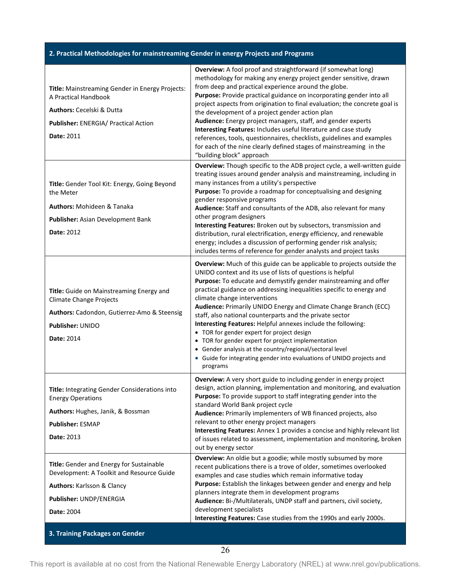# **2. Practical Methodologies for mainstreaming Gender in energy Projects and Programs**

| Title: Mainstreaming Gender in Energy Projects:<br>A Practical Handbook<br>Authors: Cecelski & Dutta<br>Publisher: ENERGIA/ Practical Action<br><b>Date: 2011</b>                                         | Overview: A fool proof and straightforward (if somewhat long)<br>methodology for making any energy project gender sensitive, drawn<br>from deep and practical experience around the globe.<br>Purpose: Provide practical guidance on incorporating gender into all<br>project aspects from origination to final evaluation; the concrete goal is<br>the development of a project gender action plan<br>Audience: Energy project managers, staff, and gender experts<br>Interesting Features: Includes useful literature and case study<br>references, tools, questionnaires, checklists, guidelines and examples<br>for each of the nine clearly defined stages of mainstreaming in the                                                                               |
|-----------------------------------------------------------------------------------------------------------------------------------------------------------------------------------------------------------|-----------------------------------------------------------------------------------------------------------------------------------------------------------------------------------------------------------------------------------------------------------------------------------------------------------------------------------------------------------------------------------------------------------------------------------------------------------------------------------------------------------------------------------------------------------------------------------------------------------------------------------------------------------------------------------------------------------------------------------------------------------------------|
| Title: Gender Tool Kit: Energy, Going Beyond<br>the Meter<br><b>Authors: Mohideen &amp; Tanaka</b><br><b>Publisher: Asian Development Bank</b><br>Date: 2012                                              | "building block" approach<br>Overview: Though specific to the ADB project cycle, a well-written guide<br>treating issues around gender analysis and mainstreaming, including in<br>many instances from a utility's perspective<br>Purpose: To provide a roadmap for conceptualising and designing<br>gender responsive programs<br>Audience: Staff and consultants of the ADB, also relevant for many<br>other program designers<br>Interesting Features: Broken out by subsectors, transmission and<br>distribution, rural electrification, energy efficiency, and renewable<br>energy; includes a discussion of performing gender risk analysis;<br>includes terms of reference for gender analysts and project tasks                                               |
| Title: Guide on Mainstreaming Energy and<br><b>Climate Change Projects</b><br>Authors: Cadondon, Gutierrez-Amo & Steensig<br>Publisher: UNIDO<br>Date: 2014                                               | Overview: Much of this guide can be applicable to projects outside the<br>UNIDO context and its use of lists of questions is helpful<br>Purpose: To educate and demystify gender mainstreaming and offer<br>practical guidance on addressing inequalities specific to energy and<br>climate change interventions<br>Audience: Primarily UNIDO Energy and Climate Change Branch (ECC)<br>staff, also national counterparts and the private sector<br>Interesting Features: Helpful annexes include the following:<br>• TOR for gender expert for project design<br>• TOR for gender expert for project implementation<br>• Gender analysis at the country/regional/sectoral level<br>• Guide for integrating gender into evaluations of UNIDO projects and<br>programs |
| <b>Title:</b> Integrating Gender Considerations into<br><b>Energy Operations</b><br>Authors: Hughes, Janik, & Bossman<br><b>Publisher: ESMAP</b><br>Date: 2013                                            | Overview: A very short guide to including gender in energy project<br>design, action planning, implementation and monitoring, and evaluation<br>Purpose: To provide support to staff integrating gender into the<br>standard World Bank project cycle<br>Audience: Primarily implementers of WB financed projects, also<br>relevant to other energy project managers<br>Interesting Features: Annex 1 provides a concise and highly relevant list<br>of issues related to assessment, implementation and monitoring, broken<br>out by energy sector                                                                                                                                                                                                                   |
| Title: Gender and Energy for Sustainable<br>Development: A Toolkit and Resource Guide<br><b>Authors: Karlsson &amp; Clancy</b><br>Publisher: UNDP/ENERGIA<br>Date: 2004<br>3. Training Packages on Gender | Overview: An oldie but a goodie; while mostly subsumed by more<br>recent publications there is a trove of older, sometimes overlooked<br>examples and case studies which remain informative today<br>Purpose: Establish the linkages between gender and energy and help<br>planners integrate them in development programs<br>Audience: Bi-/Multilaterals, UNDP staff and partners, civil society,<br>development specialists<br>Interesting Features: Case studies from the 1990s and early 2000s.                                                                                                                                                                                                                                                                   |

This report is available at no cost from the National Renewable Energy Laboratory (NREL) at www.nrel.gov/publications.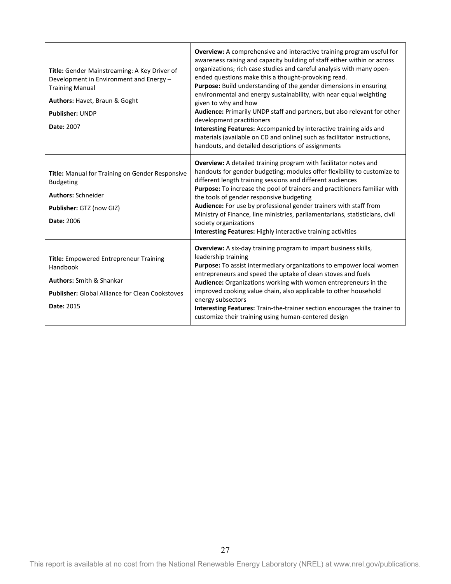| Title: Gender Mainstreaming: A Key Driver of<br>Development in Environment and Energy-<br><b>Training Manual</b><br>Authors: Havet, Braun & Goght<br><b>Publisher: UNDP</b><br><b>Date: 2007</b> | Overview: A comprehensive and interactive training program useful for<br>awareness raising and capacity building of staff either within or across<br>organizations; rich case studies and careful analysis with many open-<br>ended questions make this a thought-provoking read.<br>Purpose: Build understanding of the gender dimensions in ensuring<br>environmental and energy sustainability, with near equal weighting<br>given to why and how<br>Audience: Primarily UNDP staff and partners, but also relevant for other<br>development practitioners<br>Interesting Features: Accompanied by interactive training aids and<br>materials (available on CD and online) such as facilitator instructions,<br>handouts, and detailed descriptions of assignments |
|--------------------------------------------------------------------------------------------------------------------------------------------------------------------------------------------------|-----------------------------------------------------------------------------------------------------------------------------------------------------------------------------------------------------------------------------------------------------------------------------------------------------------------------------------------------------------------------------------------------------------------------------------------------------------------------------------------------------------------------------------------------------------------------------------------------------------------------------------------------------------------------------------------------------------------------------------------------------------------------|
| Title: Manual for Training on Gender Responsive<br><b>Budgeting</b><br><b>Authors: Schneider</b><br>Publisher: GTZ (now GIZ)<br>Date: 2006                                                       | <b>Overview:</b> A detailed training program with facilitator notes and<br>handouts for gender budgeting; modules offer flexibility to customize to<br>different length training sessions and different audiences<br>Purpose: To increase the pool of trainers and practitioners familiar with<br>the tools of gender responsive budgeting<br>Audience: For use by professional gender trainers with staff from<br>Ministry of Finance, line ministries, parliamentarians, statisticians, civil<br>society organizations<br>Interesting Features: Highly interactive training activities                                                                                                                                                                              |
| <b>Title:</b> Empowered Entrepreneur Training<br>Handbook<br><b>Authors:</b> Smith & Shankar<br><b>Publisher: Global Alliance for Clean Cookstoves</b><br>Date: 2015                             | <b>Overview:</b> A six-day training program to impart business skills,<br>leadership training<br>Purpose: To assist intermediary organizations to empower local women<br>entrepreneurs and speed the uptake of clean stoves and fuels<br>Audience: Organizations working with women entrepreneurs in the<br>improved cooking value chain, also applicable to other household<br>energy subsectors<br>Interesting Features: Train-the-trainer section encourages the trainer to<br>customize their training using human-centered design                                                                                                                                                                                                                                |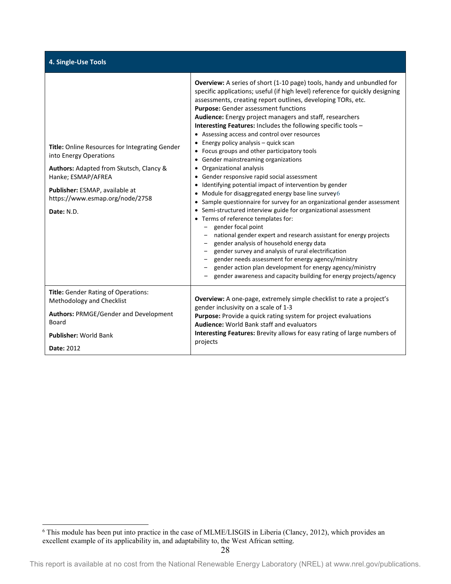|  |  | 4. Single-Use Tools |  |
|--|--|---------------------|--|

| Title: Online Resources for Integrating Gender<br>into Energy Operations<br>Authors: Adapted from Skutsch, Clancy &<br>Hanke; ESMAP/AFREA<br>Publisher: ESMAP, available at<br>https://www.esmap.org/node/2758<br>Date: N.D. | <b>Overview:</b> A series of short (1-10 page) tools, handy and unbundled for<br>specific applications; useful (if high level) reference for quickly designing<br>assessments, creating report outlines, developing TORs, etc.<br>Purpose: Gender assessment functions<br><b>Audience:</b> Energy project managers and staff, researchers<br>Interesting Features: Includes the following specific tools -<br>• Assessing access and control over resources<br>• Energy policy analysis $-$ quick scan<br>• Focus groups and other participatory tools<br>• Gender mainstreaming organizations<br>• Organizational analysis<br>• Gender responsive rapid social assessment<br>• Identifying potential impact of intervention by gender<br>• Module for disaggregated energy base line survey $6$<br>• Sample questionnaire for survey for an organizational gender assessment<br>• Semi-structured interview guide for organizational assessment<br>• Terms of reference templates for:<br>gender focal point<br>national gender expert and research assistant for energy projects<br>gender analysis of household energy data<br>gender survey and analysis of rural electrification<br>gender needs assessment for energy agency/ministry<br>- gender action plan development for energy agency/ministry<br>gender awareness and capacity building for energy projects/agency |
|------------------------------------------------------------------------------------------------------------------------------------------------------------------------------------------------------------------------------|---------------------------------------------------------------------------------------------------------------------------------------------------------------------------------------------------------------------------------------------------------------------------------------------------------------------------------------------------------------------------------------------------------------------------------------------------------------------------------------------------------------------------------------------------------------------------------------------------------------------------------------------------------------------------------------------------------------------------------------------------------------------------------------------------------------------------------------------------------------------------------------------------------------------------------------------------------------------------------------------------------------------------------------------------------------------------------------------------------------------------------------------------------------------------------------------------------------------------------------------------------------------------------------------------------------------------------------------------------------------------------|
| <b>Title:</b> Gender Rating of Operations:<br>Methodology and Checklist                                                                                                                                                      | <b>Overview:</b> A one-page, extremely simple checklist to rate a project's                                                                                                                                                                                                                                                                                                                                                                                                                                                                                                                                                                                                                                                                                                                                                                                                                                                                                                                                                                                                                                                                                                                                                                                                                                                                                                     |
| <b>Authors: PRMGE/Gender and Development</b><br>Board                                                                                                                                                                        | gender inclusivity on a scale of 1-3<br>Purpose: Provide a quick rating system for project evaluations<br><b>Audience: World Bank staff and evaluators</b>                                                                                                                                                                                                                                                                                                                                                                                                                                                                                                                                                                                                                                                                                                                                                                                                                                                                                                                                                                                                                                                                                                                                                                                                                      |
| <b>Publisher: World Bank</b>                                                                                                                                                                                                 | Interesting Features: Brevity allows for easy rating of large numbers of                                                                                                                                                                                                                                                                                                                                                                                                                                                                                                                                                                                                                                                                                                                                                                                                                                                                                                                                                                                                                                                                                                                                                                                                                                                                                                        |
| Date: 2012                                                                                                                                                                                                                   | projects                                                                                                                                                                                                                                                                                                                                                                                                                                                                                                                                                                                                                                                                                                                                                                                                                                                                                                                                                                                                                                                                                                                                                                                                                                                                                                                                                                        |

<span id="page-27-0"></span><sup>&</sup>lt;sup>6</sup> This module has been put into practice in the case of MLME/LISGIS in Liberia (Clancy, 2012), which provides an excellent example of its applicability in, and adaptability to, the West African setting.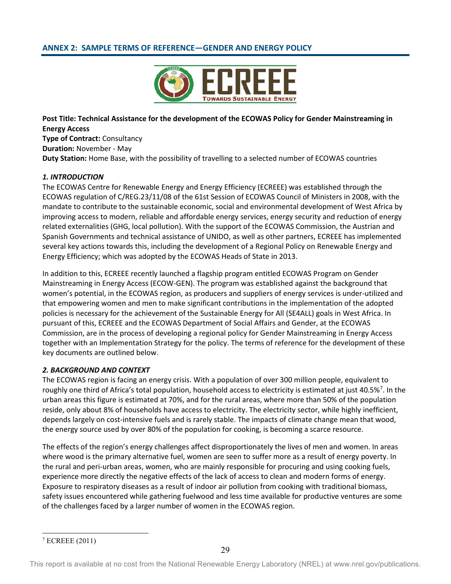# <span id="page-28-0"></span>**ANNEX 2: SAMPLE TERMS OF REFERENCE—GENDER AND ENERGY POLICY**



**Post Title: Technical Assistance for the development of the ECOWAS Policy for Gender Mainstreaming in Energy Access Type of Contract:** Consultancy **Duration:** November - May **Duty Station:** Home Base, with the possibility of travelling to a selected number of ECOWAS countries

### *1. INTRODUCTION*

The ECOWAS Centre for Renewable Energy and Energy Efficiency (ECREEE) was established through the ECOWAS regulation of C/REG.23/11/08 of the 61st Session of ECOWAS Council of Ministers in 2008, with the mandate to contribute to the sustainable economic, social and environmental development of West Africa by improving access to modern, reliable and affordable energy services, energy security and reduction of energy related externalities (GHG, local pollution). With the support of the ECOWAS Commission, the Austrian and Spanish Governments and technical assistance of UNIDO, as well as other partners, ECREEE has implemented several key actions towards this, including the development of a Regional Policy on Renewable Energy and Energy Efficiency; which was adopted by the ECOWAS Heads of State in 2013.

In addition to this, ECREEE recently launched a flagship program entitled ECOWAS Program on Gender Mainstreaming in Energy Access (ECOW-GEN). The program was established against the background that women's potential, in the ECOWAS region, as producers and suppliers of energy services is under-utilized and that empowering women and men to make significant contributions in the implementation of the adopted policies is necessary for the achievement of the Sustainable Energy for All (SE4ALL) goals in West Africa. In pursuant of this, ECREEE and the ECOWAS Department of Social Affairs and Gender, at the ECOWAS Commission, are in the process of developing a regional policy for Gender Mainstreaming in Energy Access together with an Implementation Strategy for the policy. The terms of reference for the development of these key documents are outlined below.

### *2. BACKGROUND AND CONTEXT*

The ECOWAS region is facing an energy crisis. With a population of over 300 million people, equivalent to roughly one third of Africa's total population, household access to electricity is estimated at just 40.5%<sup>[7](#page-28-1)</sup>. In the urban areas this figure is estimated at 70%, and for the rural areas, where more than 50% of the population reside, only about 8% of households have access to electricity. The electricity sector, while highly inefficient, depends largely on cost-intensive fuels and is rarely stable. The impacts of climate change mean that wood, the energy source used by over 80% of the population for cooking, is becoming a scarce resource.

The effects of the region's energy challenges affect disproportionately the lives of men and women. In areas where wood is the primary alternative fuel, women are seen to suffer more as a result of energy poverty. In the rural and peri-urban areas, women, who are mainly responsible for procuring and using cooking fuels, experience more directly the negative effects of the lack of access to clean and modern forms of energy. Exposure to respiratory diseases as a result of indoor air pollution from cooking with traditional biomass, safety issues encountered while gathering fuelwood and less time available for productive ventures are some of the challenges faced by a larger number of women in the ECOWAS region.

<span id="page-28-1"></span> <sup>7</sup> ECREEE (2011)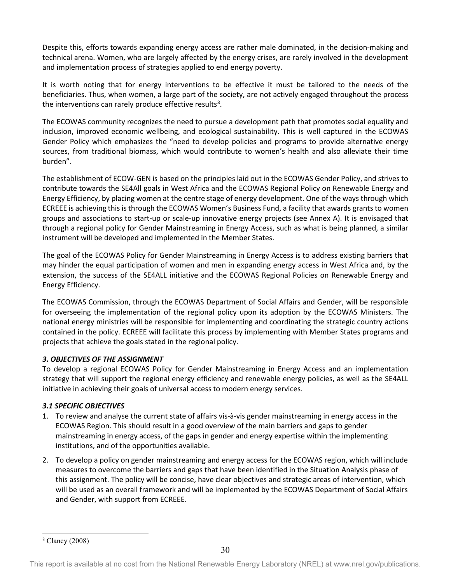Despite this, efforts towards expanding energy access are rather male dominated, in the decision-making and technical arena. Women, who are largely affected by the energy crises, are rarely involved in the development and implementation process of strategies applied to end energy poverty.

It is worth noting that for energy interventions to be effective it must be tailored to the needs of the beneficiaries. Thus, when women, a large part of the society, are not actively engaged throughout the process the interventions can rarely produce effective results<sup>[8](#page-29-0)</sup>.

The ECOWAS community recognizes the need to pursue a development path that promotes social equality and inclusion, improved economic wellbeing, and ecological sustainability. This is well captured in the ECOWAS Gender Policy which emphasizes the "need to develop policies and programs to provide alternative energy sources, from traditional biomass, which would contribute to women's health and also alleviate their time burden".

The establishment of ECOW-GEN is based on the principles laid out in the ECOWAS Gender Policy, and strives to contribute towards the SE4All goals in West Africa and the ECOWAS Regional Policy on Renewable Energy and Energy Efficiency, by placing women at the centre stage of energy development. One of the ways through which ECREEE is achieving this is through the ECOWAS Women's Business Fund, a facility that awards grants to women groups and associations to start-up or scale-up innovative energy projects (see Annex A). It is envisaged that through a regional policy for Gender Mainstreaming in Energy Access, such as what is being planned, a similar instrument will be developed and implemented in the Member States.

The goal of the ECOWAS Policy for Gender Mainstreaming in Energy Access is to address existing barriers that may hinder the equal participation of women and men in expanding energy access in West Africa and, by the extension, the success of the SE4ALL initiative and the ECOWAS Regional Policies on Renewable Energy and Energy Efficiency.

The ECOWAS Commission, through the ECOWAS Department of Social Affairs and Gender, will be responsible for overseeing the implementation of the regional policy upon its adoption by the ECOWAS Ministers. The national energy ministries will be responsible for implementing and coordinating the strategic country actions contained in the policy. ECREEE will facilitate this process by implementing with Member States programs and projects that achieve the goals stated in the regional policy.

# *3. OBJECTIVES OF THE ASSIGNMENT*

To develop a regional ECOWAS Policy for Gender Mainstreaming in Energy Access and an implementation strategy that will support the regional energy efficiency and renewable energy policies, as well as the SE4ALL initiative in achieving their goals of universal access to modern energy services.

# *3.1 SPECIFIC OBJECTIVES*

- 1. To review and analyse the current state of affairs vis-à-vis gender mainstreaming in energy access in the ECOWAS Region. This should result in a good overview of the main barriers and gaps to gender mainstreaming in energy access, of the gaps in gender and energy expertise within the implementing institutions, and of the opportunities available.
- 2. To develop a policy on gender mainstreaming and energy access for the ECOWAS region, which will include measures to overcome the barriers and gaps that have been identified in the Situation Analysis phase of this assignment. The policy will be concise, have clear objectives and strategic areas of intervention, which will be used as an overall framework and will be implemented by the ECOWAS Department of Social Affairs and Gender, with support from ECREEE.

 <sup>8</sup> Clancy (2008)

<span id="page-29-0"></span>This report is available at no cost from the National Renewable Energy Laboratory (NREL) at www.nrel.gov/publications.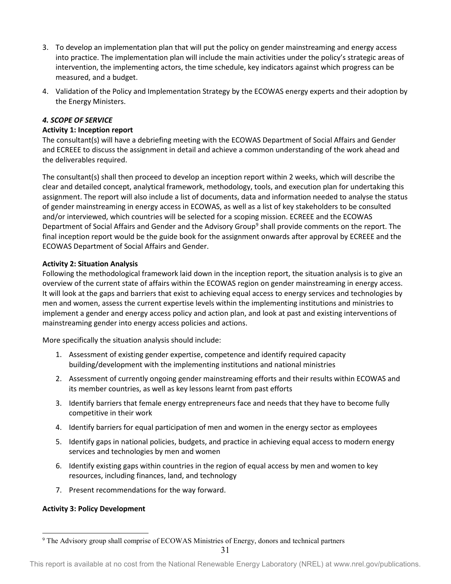- 3. To develop an implementation plan that will put the policy on gender mainstreaming and energy access into practice. The implementation plan will include the main activities under the policy's strategic areas of intervention, the implementing actors, the time schedule, key indicators against which progress can be measured, and a budget.
- 4. Validation of the Policy and Implementation Strategy by the ECOWAS energy experts and their adoption by the Energy Ministers.

# *4. SCOPE OF SERVICE*

# **Activity 1: Inception report**

The consultant(s) will have a debriefing meeting with the ECOWAS Department of Social Affairs and Gender and ECREEE to discuss the assignment in detail and achieve a common understanding of the work ahead and the deliverables required.

The consultant(s) shall then proceed to develop an inception report within 2 weeks, which will describe the clear and detailed concept, analytical framework, methodology, tools, and execution plan for undertaking this assignment. The report will also include a list of documents, data and information needed to analyse the status of gender mainstreaming in energy access in ECOWAS, as well as a list of key stakeholders to be consulted and/or interviewed, which countries will be selected for a scoping mission. ECREEE and the ECOWAS Department of Social Affairs and Gender and the Advisory Group<sup>[9](#page-30-0)</sup> shall provide comments on the report. The final inception report would be the guide book for the assignment onwards after approval by ECREEE and the ECOWAS Department of Social Affairs and Gender.

# **Activity 2: Situation Analysis**

Following the methodological framework laid down in the inception report, the situation analysis is to give an overview of the current state of affairs within the ECOWAS region on gender mainstreaming in energy access. It will look at the gaps and barriers that exist to achieving equal access to energy services and technologies by men and women, assess the current expertise levels within the implementing institutions and ministries to implement a gender and energy access policy and action plan, and look at past and existing interventions of mainstreaming gender into energy access policies and actions.

More specifically the situation analysis should include:

- 1. Assessment of existing gender expertise, competence and identify required capacity building/development with the implementing institutions and national ministries
- 2. Assessment of currently ongoing gender mainstreaming efforts and their results within ECOWAS and its member countries, as well as key lessons learnt from past efforts
- 3. Identify barriers that female energy entrepreneurs face and needs that they have to become fully competitive in their work
- 4. Identify barriers for equal participation of men and women in the energy sector as employees
- 5. Identify gaps in national policies, budgets, and practice in achieving equal access to modern energy services and technologies by men and women
- 6. Identify existing gaps within countries in the region of equal access by men and women to key resources, including finances, land, and technology
- 7. Present recommendations for the way forward.

# **Activity 3: Policy Development**

<span id="page-30-0"></span><sup>&</sup>lt;sup>9</sup> The Advisory group shall comprise of ECOWAS Ministries of Energy, donors and technical partners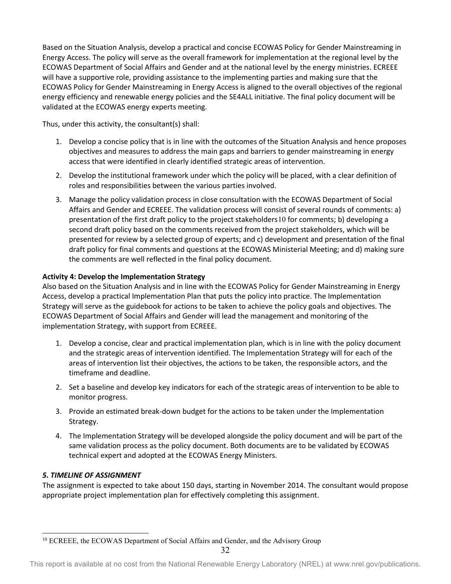Based on the Situation Analysis, develop a practical and concise ECOWAS Policy for Gender Mainstreaming in Energy Access. The policy will serve as the overall framework for implementation at the regional level by the ECOWAS Department of Social Affairs and Gender and at the national level by the energy ministries. ECREEE will have a supportive role, providing assistance to the implementing parties and making sure that the ECOWAS Policy for Gender Mainstreaming in Energy Access is aligned to the overall objectives of the regional energy efficiency and renewable energy policies and the SE4ALL initiative. The final policy document will be validated at the ECOWAS energy experts meeting.

Thus, under this activity, the consultant(s) shall:

- 1. Develop a concise policy that is in line with the outcomes of the Situation Analysis and hence proposes objectives and measures to address the main gaps and barriers to gender mainstreaming in energy access that were identified in clearly identified strategic areas of intervention.
- 2. Develop the institutional framework under which the policy will be placed, with a clear definition of roles and responsibilities between the various parties involved.
- 3. Manage the policy validation process in close consultation with the ECOWAS Department of Social Affairs and Gender and ECREEE. The validation process will consist of several rounds of comments: a) presentation of the first draft policy to the project stakeholders[10](#page-31-0) for comments; b) developing a second draft policy based on the comments received from the project stakeholders, which will be presented for review by a selected group of experts; and c) development and presentation of the final draft policy for final comments and questions at the ECOWAS Ministerial Meeting; and d) making sure the comments are well reflected in the final policy document.

# **Activity 4: Develop the Implementation Strategy**

Also based on the Situation Analysis and in line with the ECOWAS Policy for Gender Mainstreaming in Energy Access, develop a practical Implementation Plan that puts the policy into practice. The Implementation Strategy will serve as the guidebook for actions to be taken to achieve the policy goals and objectives. The ECOWAS Department of Social Affairs and Gender will lead the management and monitoring of the implementation Strategy, with support from ECREEE.

- 1. Develop a concise, clear and practical implementation plan, which is in line with the policy document and the strategic areas of intervention identified. The Implementation Strategy will for each of the areas of intervention list their objectives, the actions to be taken, the responsible actors, and the timeframe and deadline.
- 2. Set a baseline and develop key indicators for each of the strategic areas of intervention to be able to monitor progress.
- 3. Provide an estimated break-down budget for the actions to be taken under the Implementation Strategy.
- 4. The Implementation Strategy will be developed alongside the policy document and will be part of the same validation process as the policy document. Both documents are to be validated by ECOWAS technical expert and adopted at the ECOWAS Energy Ministers.

# *5. TIMELINE OF ASSIGNMENT*

The assignment is expected to take about 150 days, starting in November 2014. The consultant would propose appropriate project implementation plan for effectively completing this assignment.

<span id="page-31-0"></span><sup>&</sup>lt;sup>10</sup> ECREEE, the ECOWAS Department of Social Affairs and Gender, and the Advisory Group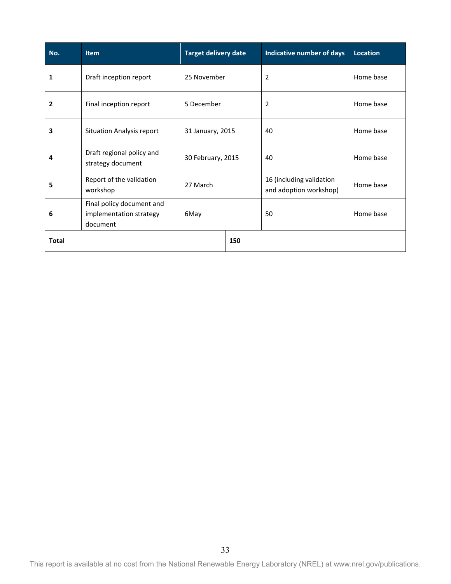| No.          | <b>Item</b>                                                      | <b>Target delivery date</b> |     | Indicative number of days                          | <b>Location</b> |
|--------------|------------------------------------------------------------------|-----------------------------|-----|----------------------------------------------------|-----------------|
| 1            | Draft inception report                                           | 25 November                 |     | $\overline{2}$                                     | Home base       |
| 2            | Final inception report                                           | 5 December                  |     | $\overline{2}$                                     | Home base       |
| 3            | <b>Situation Analysis report</b>                                 | 31 January, 2015            |     | 40                                                 | Home base       |
| 4            | Draft regional policy and<br>strategy document                   | 30 February, 2015           |     | 40                                                 | Home base       |
| 5            | Report of the validation<br>workshop                             | 27 March                    |     | 16 (including validation<br>and adoption workshop) | Home base       |
| 6            | Final policy document and<br>implementation strategy<br>document | 6May                        |     | 50                                                 | Home base       |
| <b>Total</b> |                                                                  |                             | 150 |                                                    |                 |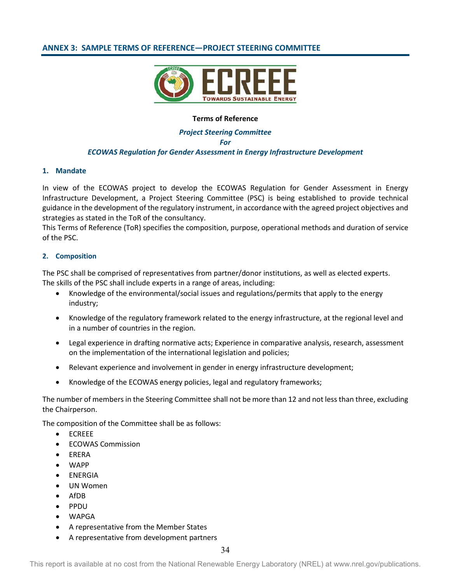# <span id="page-33-0"></span>**ANNEX 3: SAMPLE TERMS OF REFERENCE—PROJECT STEERING COMMITTEE**



### **Terms of Reference**

## *Project Steering Committee For ECOWAS Regulation for Gender Assessment in Energy Infrastructure Development*

### **1. Mandate**

In view of the ECOWAS project to develop the ECOWAS Regulation for Gender Assessment in Energy Infrastructure Development, a Project Steering Committee (PSC) is being established to provide technical guidance in the development of the regulatory instrument, in accordance with the agreed project objectives and strategies as stated in the ToR of the consultancy.

This Terms of Reference (ToR) specifies the composition, purpose, operational methods and duration of service of the PSC.

### **2. Composition**

The PSC shall be comprised of representatives from partner/donor institutions, as well as elected experts. The skills of the PSC shall include experts in a range of areas, including:

- Knowledge of the environmental/social issues and regulations/permits that apply to the energy industry;
- Knowledge of the regulatory framework related to the energy infrastructure, at the regional level and in a number of countries in the region.
- Legal experience in drafting normative acts; Experience in comparative analysis, research, assessment on the implementation of the international legislation and policies;
- Relevant experience and involvement in gender in energy infrastructure development;
- Knowledge of the ECOWAS energy policies, legal and regulatory frameworks;

The number of members in the Steering Committee shall not be more than 12 and not less than three, excluding the Chairperson.

The composition of the Committee shall be as follows:

- ECREEE
- ECOWAS Commission
- ERERA
- WAPP
- ENERGIA
- UN Women
- AfDB
- PPDU
- WAPGA
- A representative from the Member States
- A representative from development partners

This report is available at no cost from the National Renewable Energy Laboratory (NREL) at www.nrel.gov/publications.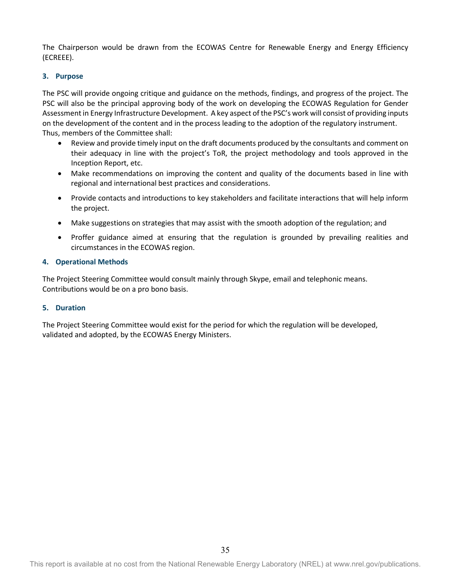The Chairperson would be drawn from the ECOWAS Centre for Renewable Energy and Energy Efficiency (ECREEE).

### **3. Purpose**

The PSC will provide ongoing critique and guidance on the methods, findings, and progress of the project. The PSC will also be the principal approving body of the work on developing the ECOWAS Regulation for Gender Assessment in Energy Infrastructure Development. A key aspect of the PSC's work will consist of providing inputs on the development of the content and in the process leading to the adoption of the regulatory instrument. Thus, members of the Committee shall:

- Review and provide timely input on the draft documents produced by the consultants and comment on their adequacy in line with the project's ToR, the project methodology and tools approved in the Inception Report, etc.
- Make recommendations on improving the content and quality of the documents based in line with regional and international best practices and considerations.
- Provide contacts and introductions to key stakeholders and facilitate interactions that will help inform the project.
- Make suggestions on strategies that may assist with the smooth adoption of the regulation; and
- Proffer guidance aimed at ensuring that the regulation is grounded by prevailing realities and circumstances in the ECOWAS region.

### **4. Operational Methods**

The Project Steering Committee would consult mainly through Skype, email and telephonic means. Contributions would be on a pro bono basis.

### **5. Duration**

The Project Steering Committee would exist for the period for which the regulation will be developed, validated and adopted, by the ECOWAS Energy Ministers.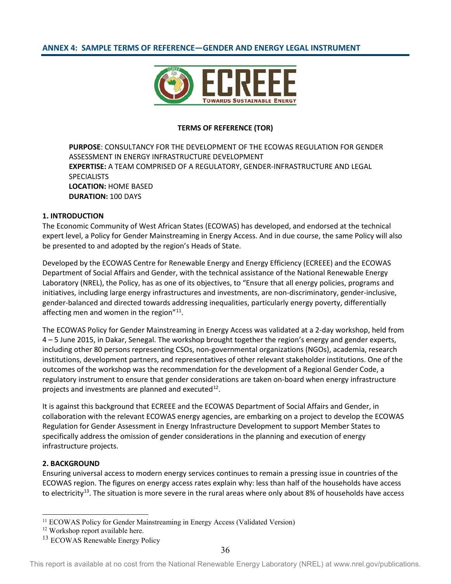# <span id="page-35-0"></span>**ANNEX 4: SAMPLE TERMS OF REFERENCE—GENDER AND ENERGY LEGAL INSTRUMENT**



#### **TERMS OF REFERENCE (TOR)**

**PURPOSE**: CONSULTANCY FOR THE DEVELOPMENT OF THE ECOWAS REGULATION FOR GENDER ASSESSMENT IN ENERGY INFRASTRUCTURE DEVELOPMENT **EXPERTISE:** A TEAM COMPRISED OF A REGULATORY, GENDER-INFRASTRUCTURE AND LEGAL **SPECIALISTS LOCATION:** HOME BASED **DURATION:** 100 DAYS

### **1. INTRODUCTION**

The Economic Community of West African States (ECOWAS) has developed, and endorsed at the technical expert level, a Policy for Gender Mainstreaming in Energy Access. And in due course, the same Policy will also be presented to and adopted by the region's Heads of State.

Developed by the ECOWAS Centre for Renewable Energy and Energy Efficiency (ECREEE) and the ECOWAS Department of Social Affairs and Gender, with the technical assistance of the National Renewable Energy Laboratory (NREL), the Policy, has as one of its objectives, to "Ensure that all energy policies, programs and initiatives, including large energy infrastructures and investments, are non-discriminatory, gender-inclusive, gender-balanced and directed towards addressing inequalities, particularly energy poverty, differentially affecting men and women in the region" $11$ .

The ECOWAS Policy for Gender Mainstreaming in Energy Access was validated at a 2-day workshop, held from 4 – 5 June 2015, in Dakar, Senegal. The workshop brought together the region's energy and gender experts, including other 80 persons representing CSOs, non-governmental organizations (NGOs), academia, research institutions, development partners, and representatives of other relevant stakeholder institutions. One of the outcomes of the workshop was the recommendation for the development of a Regional Gender Code, a regulatory instrument to ensure that gender considerations are taken on-board when energy infrastructure projects and investments are planned and executed $^{12}$ .

It is against this background that ECREEE and the ECOWAS Department of Social Affairs and Gender, in collaboration with the relevant ECOWAS energy agencies, are embarking on a project to develop the ECOWAS Regulation for Gender Assessment in Energy Infrastructure Development to support Member States to specifically address the omission of gender considerations in the planning and execution of energy infrastructure projects.

### **2. BACKGROUND**

Ensuring universal access to modern energy services continues to remain a pressing issue in countries of the ECOWAS region. The figures on energy access rates explain why: less than half of the households have access to electricity<sup>[13](#page-35-3)</sup>. The situation is more severe in the rural areas where only about 8% of households have access

<span id="page-35-1"></span><sup>&</sup>lt;sup>11</sup> ECOWAS Policy for Gender Mainstreaming in Energy Access (Validated Version)

<span id="page-35-2"></span><sup>&</sup>lt;sup>12</sup> Workshop report availabl[e here.](http://ecowgen.ecreee.org/index.php/member-states-endorse-the-ecowas-policy-for-gender-mainstreaming-in-energy-access/)

<span id="page-35-3"></span><sup>&</sup>lt;sup>13</sup> ECOWAS Renewable Energy Policy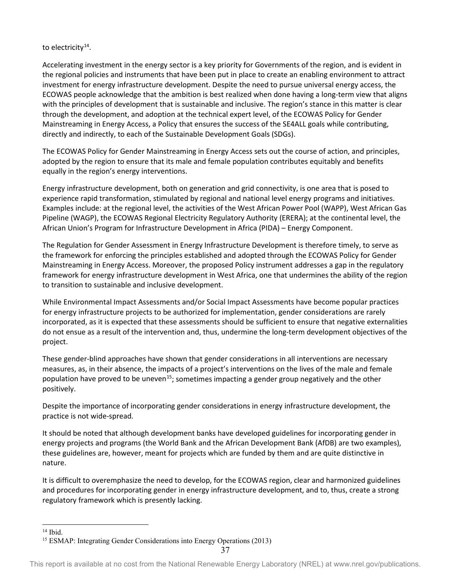# to electricity<sup>[14](#page-36-0)</sup>.

Accelerating investment in the energy sector is a key priority for Governments of the region, and is evident in the regional policies and instruments that have been put in place to create an enabling environment to attract investment for energy infrastructure development. Despite the need to pursue universal energy access, the ECOWAS people acknowledge that the ambition is best realized when done having a long-term view that aligns with the principles of development that is sustainable and inclusive. The region's stance in this matter is clear through the development, and adoption at the technical expert level, of the ECOWAS Policy for Gender Mainstreaming in Energy Access, a Policy that ensures the success of the SE4ALL goals while contributing, directly and indirectly, to each of the Sustainable Development Goals (SDGs).

The ECOWAS Policy for Gender Mainstreaming in Energy Access sets out the course of action, and principles, adopted by the region to ensure that its male and female population contributes equitably and benefits equally in the region's energy interventions.

Energy infrastructure development, both on generation and grid connectivity, is one area that is posed to experience rapid transformation, stimulated by regional and national level energy programs and initiatives. Examples include: at the regional level, the activities of the West African Power Pool (WAPP), West African Gas Pipeline (WAGP), the ECOWAS Regional Electricity Regulatory Authority (ERERA); at the continental level, the African Union's Program for Infrastructure Development in Africa (PIDA) – Energy Component.

The Regulation for Gender Assessment in Energy Infrastructure Development is therefore timely, to serve as the framework for enforcing the principles established and adopted through the ECOWAS Policy for Gender Mainstreaming in Energy Access. Moreover, the proposed Policy instrument addresses a gap in the regulatory framework for energy infrastructure development in West Africa, one that undermines the ability of the region to transition to sustainable and inclusive development.

While Environmental Impact Assessments and/or Social Impact Assessments have become popular practices for energy infrastructure projects to be authorized for implementation, gender considerations are rarely incorporated, as it is expected that these assessments should be sufficient to ensure that negative externalities do not ensue as a result of the intervention and, thus, undermine the long-term development objectives of the project.

These gender-blind approaches have shown that gender considerations in all interventions are necessary measures, as, in their absence, the impacts of a project's interventions on the lives of the male and female population have proved to be uneven<sup>[15](#page-36-1)</sup>; sometimes impacting a gender group negatively and the other positively.

Despite the importance of incorporating gender considerations in energy infrastructure development, the practice is not wide-spread.

It should be noted that although development banks have developed guidelines for incorporating gender in energy projects and programs (the World Bank and the African Development Bank (AfDB) are two examples), these guidelines are, however, meant for projects which are funded by them and are quite distinctive in nature.

It is difficult to overemphasize the need to develop, for the ECOWAS region, clear and harmonized guidelines and procedures for incorporating gender in energy infrastructure development, and to, thus, create a strong regulatory framework which is presently lacking.

<span id="page-36-0"></span> $14$  Ibid.

<span id="page-36-1"></span><sup>15</sup> ESMAP: Integrating Gender Considerations into Energy Operations (2013)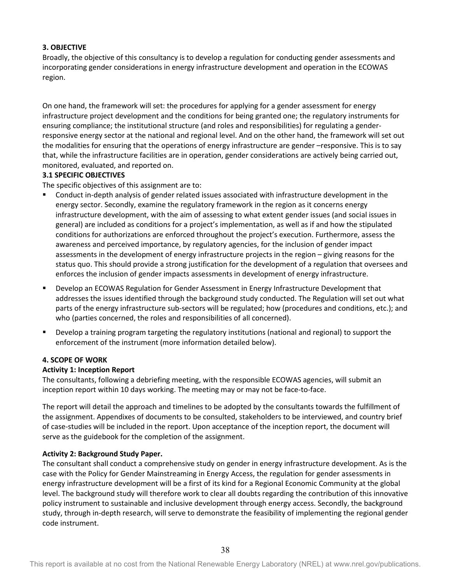## **3. OBJECTIVE**

Broadly, the objective of this consultancy is to develop a regulation for conducting gender assessments and incorporating gender considerations in energy infrastructure development and operation in the ECOWAS region.

On one hand, the framework will set: the procedures for applying for a gender assessment for energy infrastructure project development and the conditions for being granted one; the regulatory instruments for ensuring compliance; the institutional structure (and roles and responsibilities) for regulating a genderresponsive energy sector at the national and regional level. And on the other hand, the framework will set out the modalities for ensuring that the operations of energy infrastructure are gender –responsive. This is to say that, while the infrastructure facilities are in operation, gender considerations are actively being carried out, monitored, evaluated, and reported on.

## **3.1 SPECIFIC OBJECTIVES**

The specific objectives of this assignment are to:

- Conduct in-depth analysis of gender related issues associated with infrastructure development in the energy sector. Secondly, examine the regulatory framework in the region as it concerns energy infrastructure development, with the aim of assessing to what extent gender issues (and social issues in general) are included as conditions for a project's implementation, as well as if and how the stipulated conditions for authorizations are enforced throughout the project's execution. Furthermore, assess the awareness and perceived importance, by regulatory agencies, for the inclusion of gender impact assessments in the development of energy infrastructure projects in the region – giving reasons for the status quo. This should provide a strong justification for the development of a regulation that oversees and enforces the inclusion of gender impacts assessments in development of energy infrastructure.
- Develop an ECOWAS Regulation for Gender Assessment in Energy Infrastructure Development that addresses the issues identified through the background study conducted. The Regulation will set out what parts of the energy infrastructure sub-sectors will be regulated; how (procedures and conditions, etc.); and who (parties concerned, the roles and responsibilities of all concerned).
- Develop a training program targeting the regulatory institutions (national and regional) to support the enforcement of the instrument (more information detailed below).

### **4. SCOPE OF WORK**

# **Activity 1: Inception Report**

The consultants, following a debriefing meeting, with the responsible ECOWAS agencies, will submit an inception report within 10 days working. The meeting may or may not be face-to-face.

The report will detail the approach and timelines to be adopted by the consultants towards the fulfillment of the assignment. Appendixes of documents to be consulted, stakeholders to be interviewed, and country brief of case-studies will be included in the report. Upon acceptance of the inception report, the document will serve as the guidebook for the completion of the assignment.

# **Activity 2: Background Study Paper.**

The consultant shall conduct a comprehensive study on gender in energy infrastructure development. As is the case with the Policy for Gender Mainstreaming in Energy Access, the regulation for gender assessments in energy infrastructure development will be a first of its kind for a Regional Economic Community at the global level. The background study will therefore work to clear all doubts regarding the contribution of this innovative policy instrument to sustainable and inclusive development through energy access. Secondly, the background study, through in-depth research, will serve to demonstrate the feasibility of implementing the regional gender code instrument.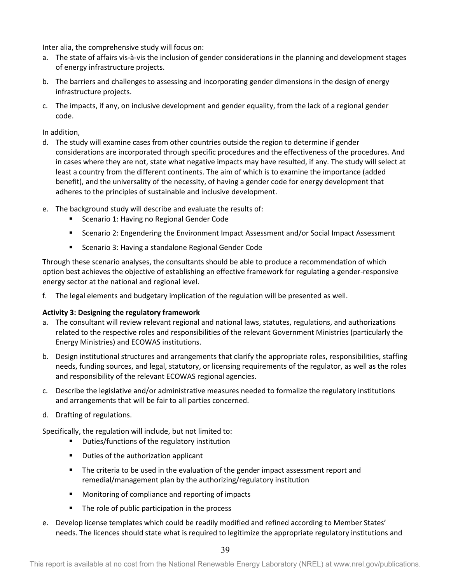Inter alia, the comprehensive study will focus on:

- a. The state of affairs vis-à-vis the inclusion of gender considerations in the planning and development stages of energy infrastructure projects.
- b. The barriers and challenges to assessing and incorporating gender dimensions in the design of energy infrastructure projects.
- c. The impacts, if any, on inclusive development and gender equality, from the lack of a regional gender code.

In addition,

- d. The study will examine cases from other countries outside the region to determine if gender considerations are incorporated through specific procedures and the effectiveness of the procedures. And in cases where they are not, state what negative impacts may have resulted, if any. The study will select at least a country from the different continents. The aim of which is to examine the importance (added benefit), and the universality of the necessity, of having a gender code for energy development that adheres to the principles of sustainable and inclusive development.
- e. The background study will describe and evaluate the results of:
	- **Scenario 1: Having no Regional Gender Code**
	- Scenario 2: Engendering the Environment Impact Assessment and/or Social Impact Assessment
	- **Scenario 3: Having a standalone Regional Gender Code**

Through these scenario analyses, the consultants should be able to produce a recommendation of which option best achieves the objective of establishing an effective framework for regulating a gender-responsive energy sector at the national and regional level.

f. The legal elements and budgetary implication of the regulation will be presented as well.

# **Activity 3: Designing the regulatory framework**

- a. The consultant will review relevant regional and national laws, statutes, regulations, and authorizations related to the respective roles and responsibilities of the relevant Government Ministries (particularly the Energy Ministries) and ECOWAS institutions.
- b. Design institutional structures and arrangements that clarify the appropriate roles, responsibilities, staffing needs, funding sources, and legal, statutory, or licensing requirements of the regulator, as well as the roles and responsibility of the relevant ECOWAS regional agencies.
- c. Describe the legislative and/or administrative measures needed to formalize the regulatory institutions and arrangements that will be fair to all parties concerned.
- d. Drafting of regulations.

Specifically, the regulation will include, but not limited to:

- **•** Duties/functions of the regulatory institution
- **Duties of the authorization applicant**
- **The criteria to be used in the evaluation of the gender impact assessment report and** remedial/management plan by the authorizing/regulatory institution
- **Monitoring of compliance and reporting of impacts**
- The role of public participation in the process
- e. Develop license templates which could be readily modified and refined according to Member States' needs. The licences should state what is required to legitimize the appropriate regulatory institutions and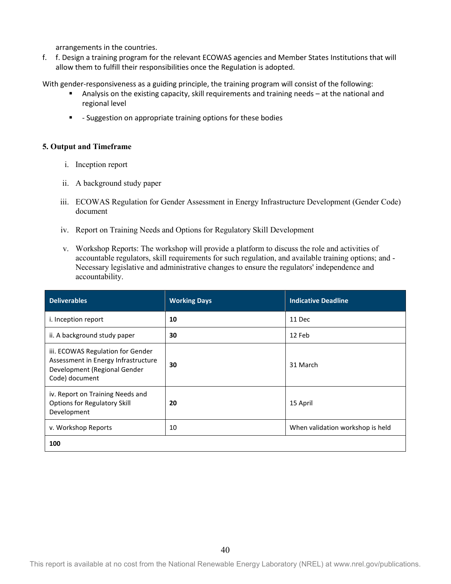arrangements in the countries.

f. f. Design a training program for the relevant ECOWAS agencies and Member States Institutions that will allow them to fulfill their responsibilities once the Regulation is adopted.

With gender-responsiveness as a guiding principle, the training program will consist of the following:

- Analysis on the existing capacity, skill requirements and training needs at the national and regional level
- **-** Suggestion on appropriate training options for these bodies

### **5. Output and Timeframe**

- i. Inception report
- ii. A background study paper
- iii. ECOWAS Regulation for Gender Assessment in Energy Infrastructure Development (Gender Code) document
- iv. Report on Training Needs and Options for Regulatory Skill Development
- v. Workshop Reports: The workshop will provide a platform to discuss the role and activities of accountable regulators, skill requirements for such regulation, and available training options; and - Necessary legislative and administrative changes to ensure the regulators' independence and accountability.

<span id="page-39-0"></span>

| <b>Deliverables</b>                                                                                                        | <b>Working Days</b> | <b>Indicative Deadline</b>       |
|----------------------------------------------------------------------------------------------------------------------------|---------------------|----------------------------------|
| i. Inception report                                                                                                        | 10                  | 11 Dec                           |
| ii. A background study paper                                                                                               | 30                  | 12 Feb                           |
| iii. ECOWAS Regulation for Gender<br>Assessment in Energy Infrastructure<br>Development (Regional Gender<br>Code) document | 30                  | 31 March                         |
| iv. Report on Training Needs and<br><b>Options for Regulatory Skill</b><br>Development                                     | 20                  | 15 April                         |
| v. Workshop Reports                                                                                                        | 10                  | When validation workshop is held |
| 100                                                                                                                        |                     |                                  |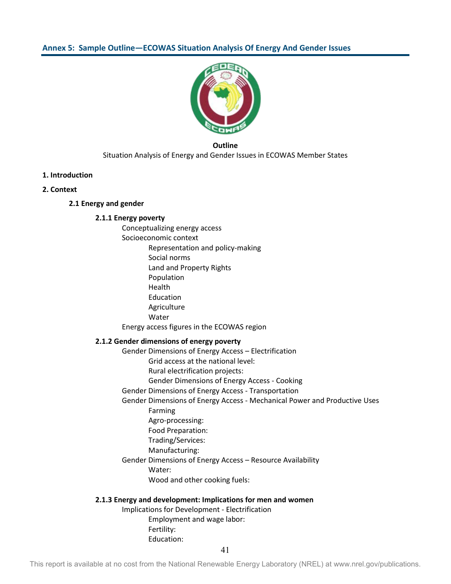

**Outline** Situation Analysis of Energy and Gender Issues in ECOWAS Member States

### **1. Introduction**

#### **2. Context**

### **2.1 Energy and gender**

### **2.1.1 Energy poverty**

Conceptualizing energy access Socioeconomic context Representation and policy-making Social norms Land and Property Rights Population Health Education Agriculture Water Energy access figures in the ECOWAS region

### **2.1.2 Gender dimensions of energy poverty**

Gender Dimensions of Energy Access – Electrification

Grid access at the national level:

Rural electrification projects:

Gender Dimensions of Energy Access - Cooking

Gender Dimensions of Energy Access - Transportation

### Gender Dimensions of Energy Access - Mechanical Power and Productive Uses Farming

Agro-processing:

Food Preparation:

Trading/Services:

Manufacturing:

Gender Dimensions of Energy Access – Resource Availability

Water:

Wood and other cooking fuels:

### **2.1.3 Energy and development: Implications for men and women**

Implications for Development - Electrification Employment and wage labor: Fertility: Education: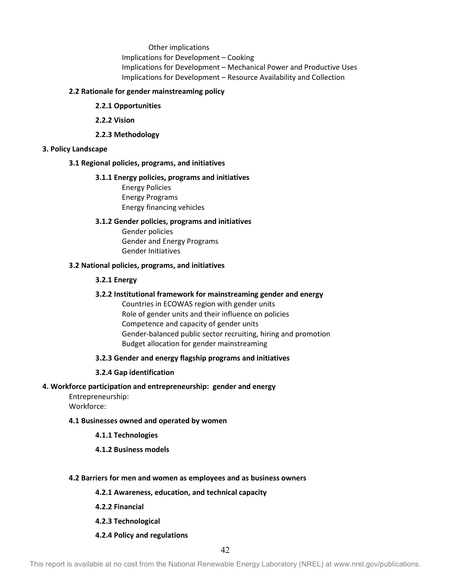Other implications Implications for Development – Cooking Implications for Development – Mechanical Power and Productive Uses Implications for Development – Resource Availability and Collection

### **2.2 Rationale for gender mainstreaming policy**

- **2.2.1 Opportunities**
- **2.2.2 Vision**
- **2.2.3 Methodology**

### **3. Policy Landscape**

#### **3.1 Regional policies, programs, and initiatives**

#### **3.1.1 Energy policies, programs and initiatives**

Energy Policies Energy Programs Energy financing vehicles

### **3.1.2 Gender policies, programs and initiatives**

Gender policies Gender and Energy Programs Gender Initiatives

#### **3.2 National policies, programs, and initiatives**

### **3.2.1 Energy**

### **3.2.2 Institutional framework for mainstreaming gender and energy**

Countries in ECOWAS region with gender units Role of gender units and their influence on policies Competence and capacity of gender units Gender-balanced public sector recruiting, hiring and promotion Budget allocation for gender mainstreaming

#### **3.2.3 Gender and energy flagship programs and initiatives**

#### **3.2.4 Gap identification**

### **4. Workforce participation and entrepreneurship: gender and energy**

Entrepreneurship: Workforce:

#### **4.1 Businesses owned and operated by women**

#### **4.1.1 Technologies**

### **4.1.2 Business models**

#### **4.2 Barriers for men and women as employees and as business owners**

**4.2.1 Awareness, education, and technical capacity**

- **4.2.2 Financial**
- **4.2.3 Technological**

#### **4.2.4 Policy and regulations**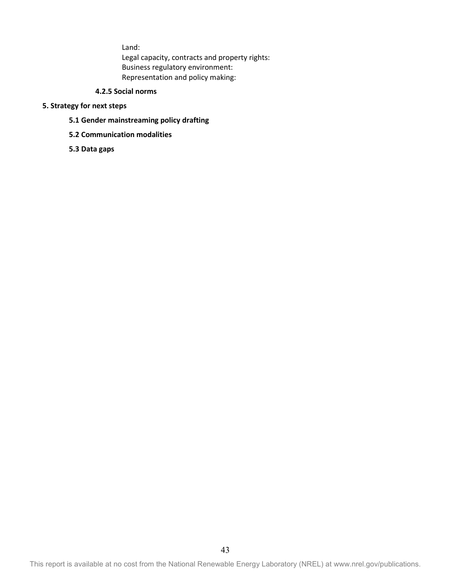Land:

Legal capacity, contracts and property rights: Business regulatory environment: Representation and policy making:

# **4.2.5 Social norms**

### **5. Strategy for next steps**

- **5.1 Gender mainstreaming policy drafting**
- **5.2 Communication modalities**
- **5.3 Data gaps**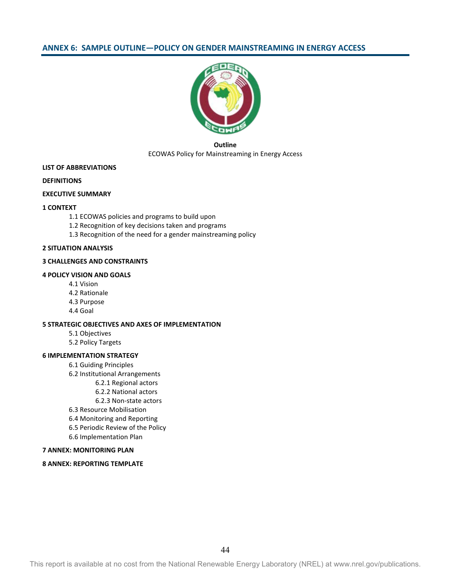### <span id="page-43-0"></span>**ANNEX 6: SAMPLE OUTLINE—POLICY ON GENDER MAINSTREAMING IN ENERGY ACCESS**



### **Outline** ECOWAS Policy for Mainstreaming in Energy Access

#### **LIST OF ABBREVIATIONS**

#### **DEFINITIONS**

#### **EXECUTIVE SUMMARY**

#### **1 CONTEXT**

- 1.1 ECOWAS policies and programs to build upon
- 1.2 Recognition of key decisions taken and programs
- 1.3 Recognition of the need for a gender mainstreaming policy

#### **2 SITUATION ANALYSIS**

#### **3 CHALLENGES AND CONSTRAINTS**

#### **4 POLICY VISION AND GOALS**

- 4.1 Vision
- 4.2 Rationale
- 4.3 Purpose
- 4.4 Goal

#### **5 STRATEGIC OBJECTIVES AND AXES OF IMPLEMENTATION**

- 5.1 Objectives
- 5.2 Policy Targets

#### **6 IMPLEMENTATION STRATEGY**

- 6.1 Guiding Principles
- 6.2 Institutional Arrangements
	- 6.2.1 Regional actors
		- 6.2.2 National actors
		- 6.2.3 Non-state actors
- 6.3 Resource Mobilisation
- 6.4 Monitoring and Reporting
- 6.5 Periodic Review of the Policy
- 6.6 Implementation Plan

#### **7 ANNEX: MONITORING PLAN**

#### **8 ANNEX: REPORTING TEMPLATE**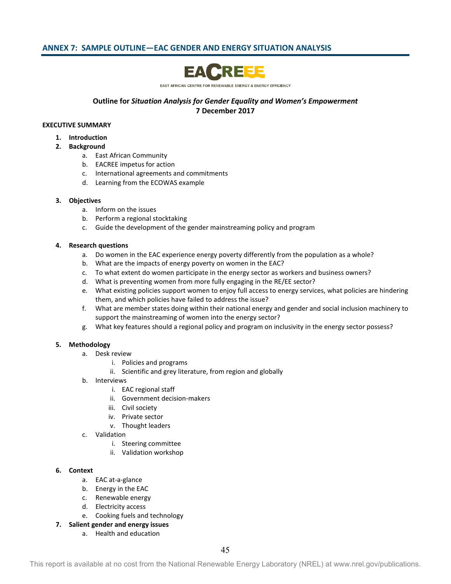# <span id="page-44-0"></span>**ANNEX 7: SAMPLE OUTLINE—EAC GENDER AND ENERGY SITUATION ANALYSIS**



EAST AFRICAN CENTRE FOR RENEWABLE ENERGY & ENERGY EFFICIENCY

### **Outline for** *Situation Analysis for Gender Equality and Women's Empowerment* **7 December 2017**

#### **EXECUTIVE SUMMARY**

- **1. Introduction**
- **2. Background** 
	- a. East African Community
	- b. EACREE impetus for action
	- c. International agreements and commitments
	- d. Learning from the ECOWAS example

#### **3. Objectives**

- a. Inform on the issues
- b. Perform a regional stocktaking
- c. Guide the development of the gender mainstreaming policy and program

#### **4. Research questions**

- a. Do women in the EAC experience energy poverty differently from the population as a whole?
- b. What are the impacts of energy poverty on women in the EAC?
- c. To what extent do women participate in the energy sector as workers and business owners?
- d. What is preventing women from more fully engaging in the RE/EE sector?
- e. What existing policies support women to enjoy full access to energy services, what policies are hindering them, and which policies have failed to address the issue?
- f. What are member states doing within their national energy and gender and social inclusion machinery to support the mainstreaming of women into the energy sector?
- g. What key features should a regional policy and program on inclusivity in the energy sector possess?

### **5. Methodology**

- a. Desk review
	- i. Policies and programs
	- ii. Scientific and grey literature, from region and globally
- b. Interviews
	- i. EAC regional staff
	- ii. Government decision-makers
	- iii. Civil society
	- iv. Private sector
	- v. Thought leaders
- c. Validation
	- i. Steering committee
	- ii. Validation workshop

### **6. Context**

- a. EAC at-a-glance
- b. Energy in the EAC
- c. Renewable energy
- d. Electricity access
- e. Cooking fuels and technology
- **7. Salient gender and energy issues**
	- a. Health and education